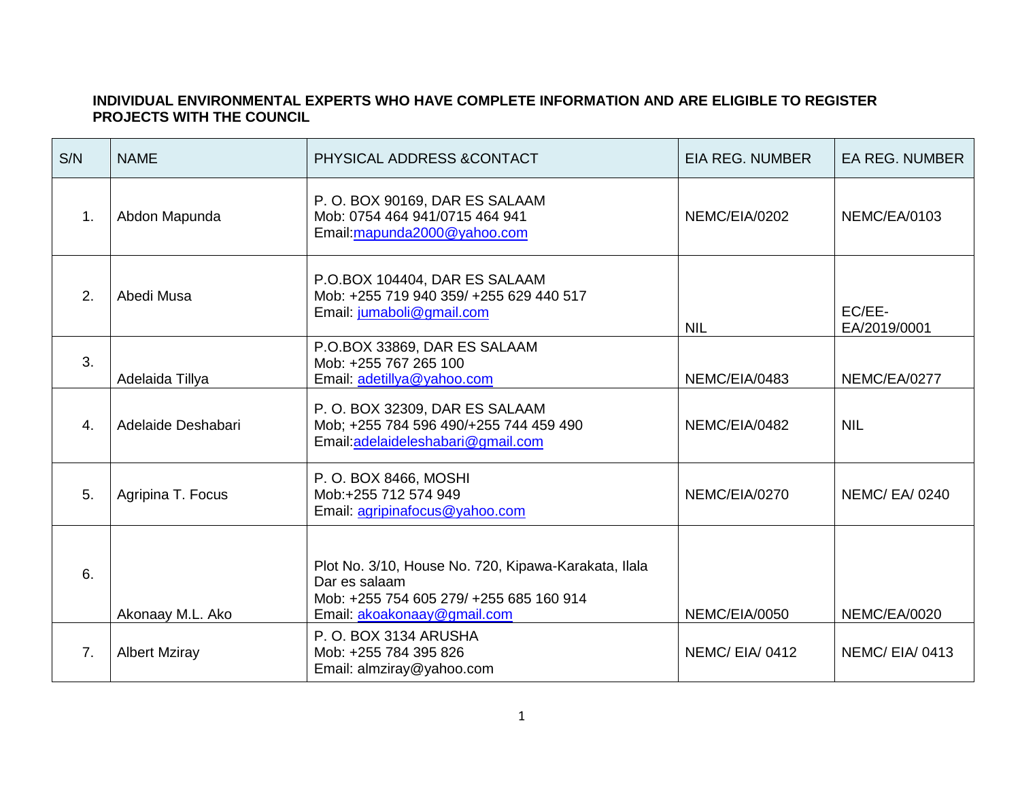## **INDIVIDUAL ENVIRONMENTAL EXPERTS WHO HAVE COMPLETE INFORMATION AND ARE ELIGIBLE TO REGISTER PROJECTS WITH THE COUNCIL**

| S/N            | <b>NAME</b>          | PHYSICAL ADDRESS & CONTACT                                                                                                                      | EIA REG. NUMBER | <b>EA REG. NUMBER</b>  |
|----------------|----------------------|-------------------------------------------------------------------------------------------------------------------------------------------------|-----------------|------------------------|
| $\mathbf{1}$ . | Abdon Mapunda        | P.O. BOX 90169, DAR ES SALAAM<br>Mob: 0754 464 941/0715 464 941<br>Email: mapunda2000@yahoo.com                                                 | NEMC/EIA/0202   | <b>NEMC/EA/0103</b>    |
| 2.             | Abedi Musa           | P.O.BOX 104404, DAR ES SALAAM<br>Mob: +255 719 940 359/ +255 629 440 517<br>Email: jumaboli@gmail.com                                           | <b>NIL</b>      | EC/EE-<br>EA/2019/0001 |
| 3.             | Adelaida Tillya      | P.O.BOX 33869, DAR ES SALAAM<br>Mob: +255 767 265 100<br>Email: adetillya@yahoo.com                                                             | NEMC/EIA/0483   | NEMC/EA/0277           |
| 4.             | Adelaide Deshabari   | P.O. BOX 32309, DAR ES SALAAM<br>Mob; +255 784 596 490/+255 744 459 490<br>Email: adelaideleshabari@gmail.com                                   | NEMC/EIA/0482   | <b>NIL</b>             |
| 5.             | Agripina T. Focus    | P. O. BOX 8466, MOSHI<br>Mob:+255 712 574 949<br>Email: agripinafocus@yahoo.com                                                                 | NEMC/EIA/0270   | <b>NEMC/EA/0240</b>    |
| 6.             | Akonaay M.L. Ako     | Plot No. 3/10, House No. 720, Kipawa-Karakata, Ilala<br>Dar es salaam<br>Mob: +255 754 605 279/ +255 685 160 914<br>Email: akoakonaay@gmail.com | NEMC/EIA/0050   | <b>NEMC/EA/0020</b>    |
| 7 <sub>1</sub> | <b>Albert Mziray</b> | P.O. BOX 3134 ARUSHA<br>Mob: +255 784 395 826<br>Email: almziray@yahoo.com                                                                      | NEMC/EIA/0412   | NEMC/EIA/0413          |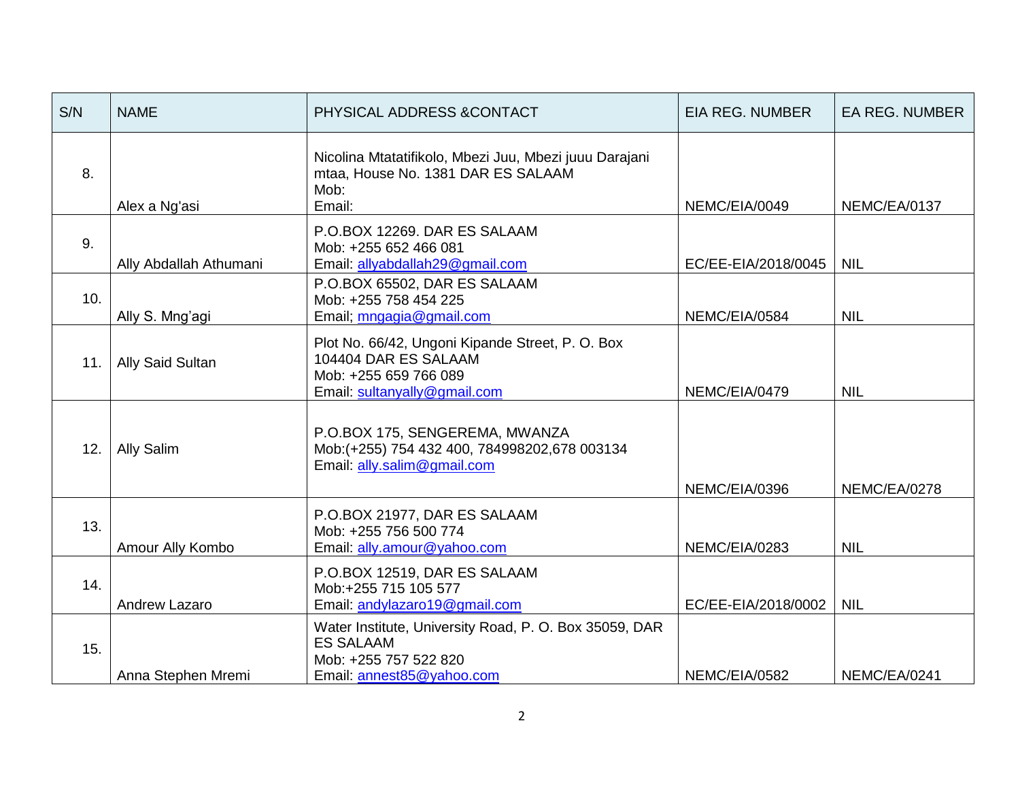| S/N | <b>NAME</b>            | PHYSICAL ADDRESS & CONTACT                                                                                                        | <b>EIA REG. NUMBER</b> | <b>EA REG. NUMBER</b> |
|-----|------------------------|-----------------------------------------------------------------------------------------------------------------------------------|------------------------|-----------------------|
| 8.  | Alex a Ng'asi          | Nicolina Mtatatifikolo, Mbezi Juu, Mbezi juuu Darajani<br>mtaa, House No. 1381 DAR ES SALAAM<br>Mob:<br>Email:                    | NEMC/EIA/0049          | NEMC/EA/0137          |
| 9.  | Ally Abdallah Athumani | P.O.BOX 12269. DAR ES SALAAM<br>Mob: +255 652 466 081<br>Email: allyabdallah29@gmail.com                                          | EC/EE-EIA/2018/0045    | <b>NIL</b>            |
| 10. | Ally S. Mng'agi        | P.O.BOX 65502, DAR ES SALAAM<br>Mob: +255 758 454 225<br>Email; mngagia@gmail.com                                                 | NEMC/EIA/0584          | <b>NIL</b>            |
| 11. | Ally Said Sultan       | Plot No. 66/42, Ungoni Kipande Street, P. O. Box<br>104404 DAR ES SALAAM<br>Mob: +255 659 766 089<br>Email: sultanyally@gmail.com | NEMC/EIA/0479          | <b>NIL</b>            |
| 12. | Ally Salim             | P.O.BOX 175, SENGEREMA, MWANZA<br>Mob:(+255) 754 432 400, 784998202,678 003134<br>Email: ally.salim@gmail.com                     | NEMC/EIA/0396          | NEMC/EA/0278          |
| 13. | Amour Ally Kombo       | P.O.BOX 21977, DAR ES SALAAM<br>Mob: +255 756 500 774<br>Email: ally.amour@yahoo.com                                              | NEMC/EIA/0283          | <b>NIL</b>            |
| 14. | Andrew Lazaro          | P.O.BOX 12519, DAR ES SALAAM<br>Mob:+255 715 105 577<br>Email: andylazaro19@gmail.com                                             | EC/EE-EIA/2018/0002    | <b>NIL</b>            |
| 15. | Anna Stephen Mremi     | Water Institute, University Road, P. O. Box 35059, DAR<br><b>ES SALAAM</b><br>Mob: +255 757 522 820<br>Email: annest85@yahoo.com  | NEMC/EIA/0582          | NEMC/EA/0241          |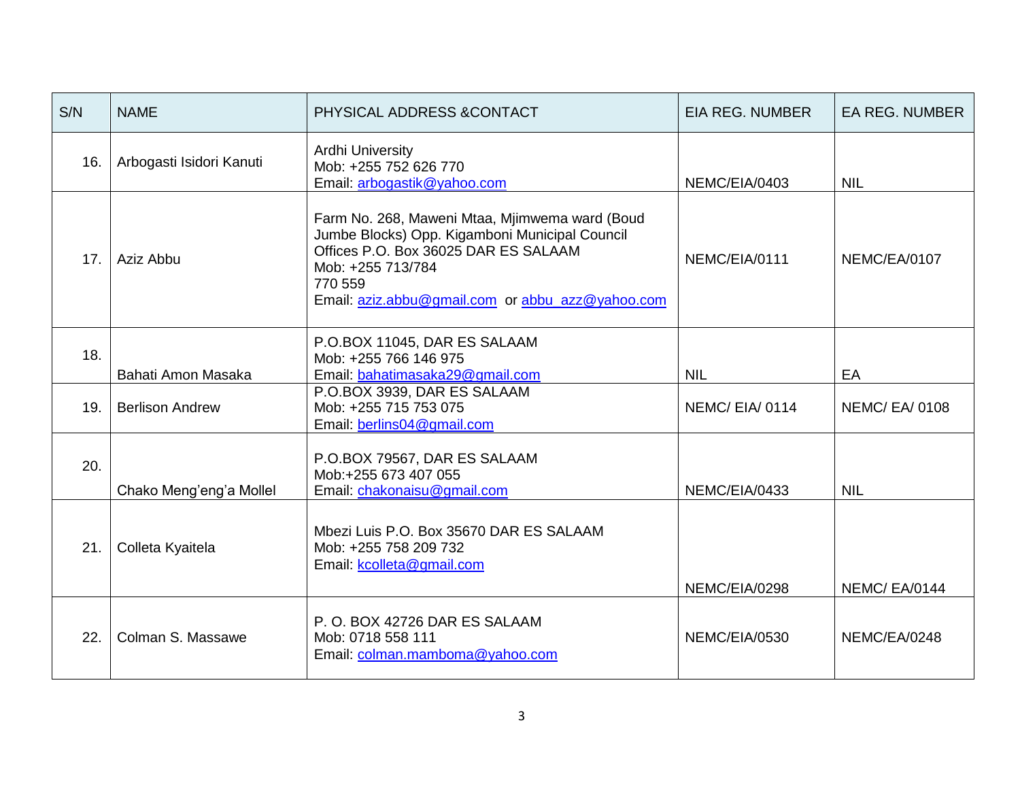| S/N | <b>NAME</b>              | PHYSICAL ADDRESS & CONTACT                                                                                                                                                                                                   | <b>EIA REG. NUMBER</b> | <b>EA REG. NUMBER</b> |
|-----|--------------------------|------------------------------------------------------------------------------------------------------------------------------------------------------------------------------------------------------------------------------|------------------------|-----------------------|
| 16. | Arbogasti Isidori Kanuti | <b>Ardhi University</b><br>Mob: +255 752 626 770<br>Email: arbogastik@yahoo.com                                                                                                                                              | NEMC/EIA/0403          | <b>NIL</b>            |
| 17. | Aziz Abbu                | Farm No. 268, Maweni Mtaa, Mjimwema ward (Boud<br>Jumbe Blocks) Opp. Kigamboni Municipal Council<br>Offices P.O. Box 36025 DAR ES SALAAM<br>Mob: +255 713/784<br>770 559<br>Email: aziz.abbu@gmail.com or abbu_azz@yahoo.com | NEMC/EIA/0111          | NEMC/EA/0107          |
| 18. | Bahati Amon Masaka       | P.O.BOX 11045, DAR ES SALAAM<br>Mob: +255 766 146 975<br>Email: bahatimasaka29@gmail.com                                                                                                                                     | <b>NIL</b>             | EA                    |
| 19. | <b>Berlison Andrew</b>   | P.O.BOX 3939, DAR ES SALAAM<br>Mob: +255 715 753 075<br>Email: berlins04@gmail.com                                                                                                                                           | NEMC/EIA/0114          | <b>NEMC/EA/0108</b>   |
| 20. | Chako Meng'eng'a Mollel  | P.O.BOX 79567, DAR ES SALAAM<br>Mob:+255 673 407 055<br>Email: chakonaisu@gmail.com                                                                                                                                          | NEMC/EIA/0433          | <b>NIL</b>            |
| 21. | Colleta Kyaitela         | Mbezi Luis P.O. Box 35670 DAR ES SALAAM<br>Mob: +255 758 209 732<br>Email: kcolleta@gmail.com                                                                                                                                | NEMC/EIA/0298          | <b>NEMC/EA/0144</b>   |
| 22. | Colman S. Massawe        | P.O. BOX 42726 DAR ES SALAAM<br>Mob: 0718 558 111<br>Email: colman.mamboma@yahoo.com                                                                                                                                         | NEMC/EIA/0530          | NEMC/EA/0248          |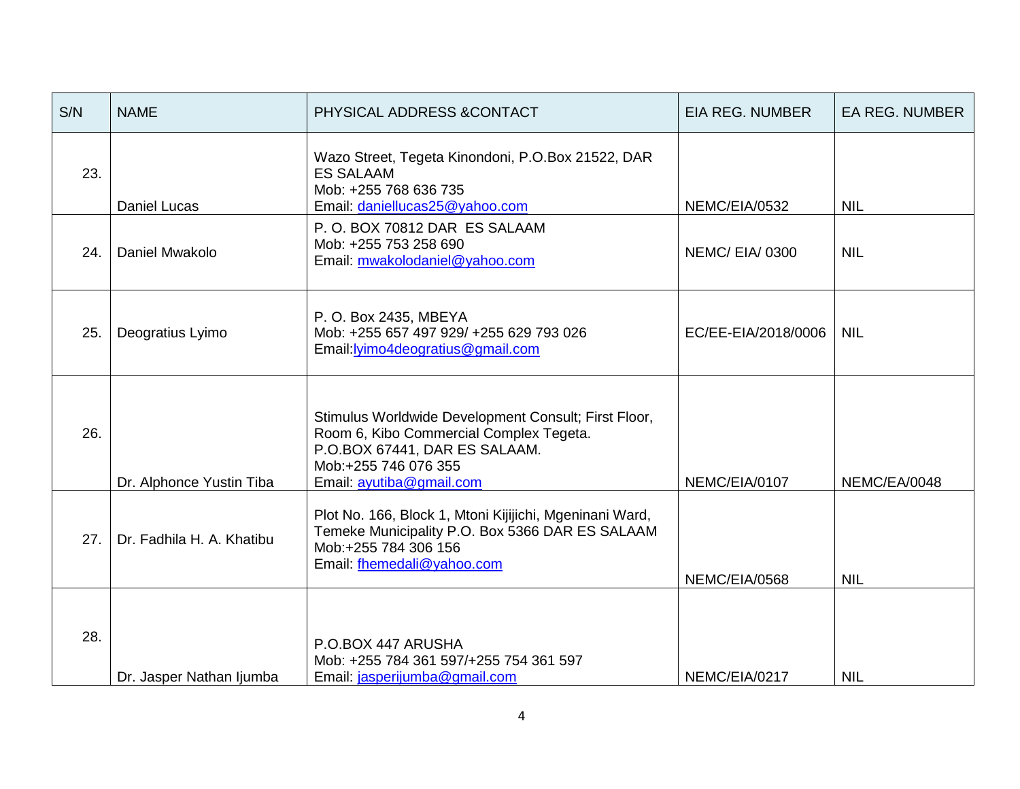| S/N | <b>NAME</b>               | PHYSICAL ADDRESS & CONTACT                                                                                                                                                           | <b>EIA REG. NUMBER</b> | <b>EA REG. NUMBER</b> |
|-----|---------------------------|--------------------------------------------------------------------------------------------------------------------------------------------------------------------------------------|------------------------|-----------------------|
| 23. | <b>Daniel Lucas</b>       | Wazo Street, Tegeta Kinondoni, P.O.Box 21522, DAR<br><b>ES SALAAM</b><br>Mob: +255 768 636 735<br>Email: daniellucas25@yahoo.com                                                     | NEMC/EIA/0532          | <b>NIL</b>            |
| 24. | Daniel Mwakolo            | P.O. BOX 70812 DAR ES SALAAM<br>Mob: +255 753 258 690<br>Email: mwakolodaniel@yahoo.com                                                                                              | NEMC/EIA/0300          | <b>NIL</b>            |
| 25. | Deogratius Lyimo          | P. O. Box 2435, MBEYA<br>Mob: +255 657 497 929/ +255 629 793 026<br>Email: lyimo4deogratius@gmail.com                                                                                | EC/EE-EIA/2018/0006    | <b>NIL</b>            |
| 26. | Dr. Alphonce Yustin Tiba  | Stimulus Worldwide Development Consult; First Floor,<br>Room 6, Kibo Commercial Complex Tegeta.<br>P.O.BOX 67441, DAR ES SALAAM.<br>Mob:+255 746 076 355<br>Email: ayutiba@gmail.com | NEMC/EIA/0107          | NEMC/EA/0048          |
| 27. | Dr. Fadhila H. A. Khatibu | Plot No. 166, Block 1, Mtoni Kijijichi, Mgeninani Ward,<br>Temeke Municipality P.O. Box 5366 DAR ES SALAAM<br>Mob:+255 784 306 156<br>Email: fhemedali@yahoo.com                     | NEMC/EIA/0568          | <b>NIL</b>            |
| 28. | Dr. Jasper Nathan Ijumba  | P.O.BOX 447 ARUSHA<br>Mob: +255 784 361 597/+255 754 361 597<br>Email: jasperijumba@gmail.com                                                                                        | NEMC/EIA/0217          | <b>NIL</b>            |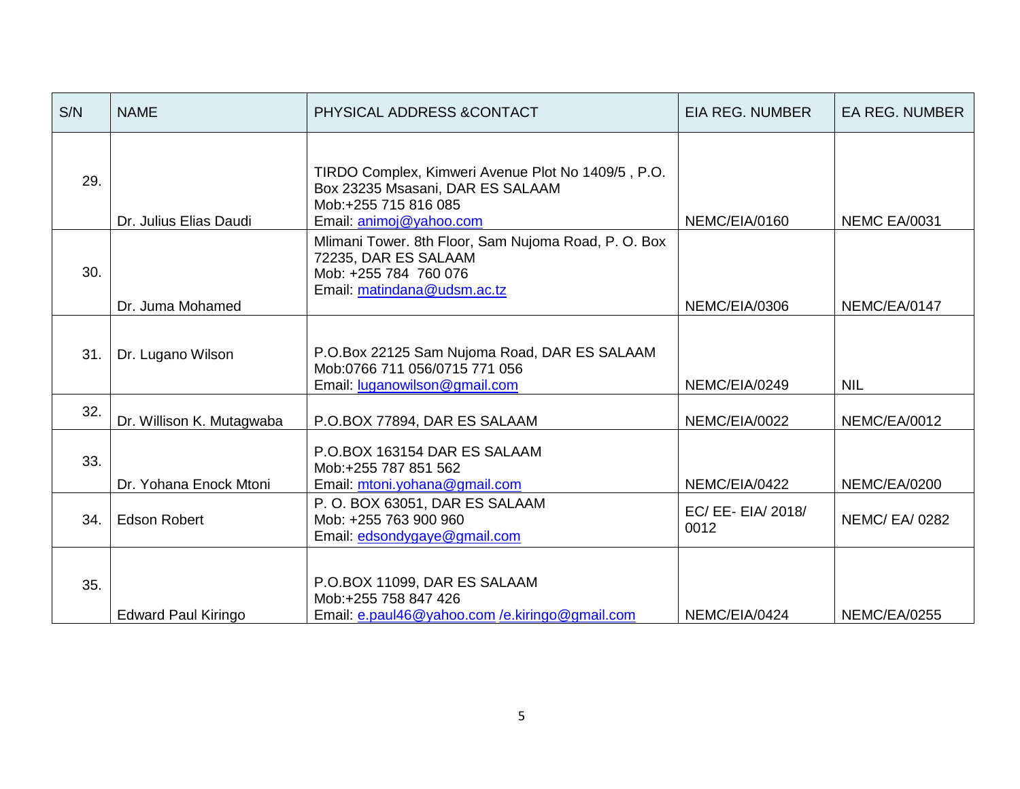| S/N | <b>NAME</b>                | PHYSICAL ADDRESS & CONTACT                                                                                                                | <b>EIA REG. NUMBER</b>     | <b>EA REG. NUMBER</b> |
|-----|----------------------------|-------------------------------------------------------------------------------------------------------------------------------------------|----------------------------|-----------------------|
| 29. | Dr. Julius Elias Daudi     | TIRDO Complex, Kimweri Avenue Plot No 1409/5, P.O.<br>Box 23235 Msasani, DAR ES SALAAM<br>Mob:+255 715 816 085<br>Email: animoj@yahoo.com | NEMC/EIA/0160              | <b>NEMC EA/0031</b>   |
| 30. | Dr. Juma Mohamed           | Mlimani Tower. 8th Floor, Sam Nujoma Road, P. O. Box<br>72235, DAR ES SALAAM<br>Mob: +255 784 760 076<br>Email: matindana@udsm.ac.tz      | NEMC/EIA/0306              | NEMC/EA/0147          |
| 31. | Dr. Lugano Wilson          | P.O.Box 22125 Sam Nujoma Road, DAR ES SALAAM<br>Mob:0766 711 056/0715 771 056<br>Email: luganowilson@gmail.com                            | NEMC/EIA/0249              | <b>NIL</b>            |
| 32. | Dr. Willison K. Mutagwaba  | P.O.BOX 77894, DAR ES SALAAM                                                                                                              | NEMC/EIA/0022              | NEMC/EA/0012          |
| 33. | Dr. Yohana Enock Mtoni     | P.O.BOX 163154 DAR ES SALAAM<br>Mob:+255 787 851 562<br>Email: mtoni.yohana@gmail.com                                                     | NEMC/EIA/0422              | <b>NEMC/EA/0200</b>   |
| 34. | <b>Edson Robert</b>        | P.O. BOX 63051, DAR ES SALAAM<br>Mob: +255 763 900 960<br>Email: edsondygaye@gmail.com                                                    | EC/ EE- EIA/ 2018/<br>0012 | <b>NEMC/ EA/ 0282</b> |
| 35. | <b>Edward Paul Kiringo</b> | P.O.BOX 11099, DAR ES SALAAM<br>Mob:+255 758 847 426<br>Email: e.paul46@yahoo.com /e.kiringo@gmail.com                                    | NEMC/EIA/0424              | <b>NEMC/EA/0255</b>   |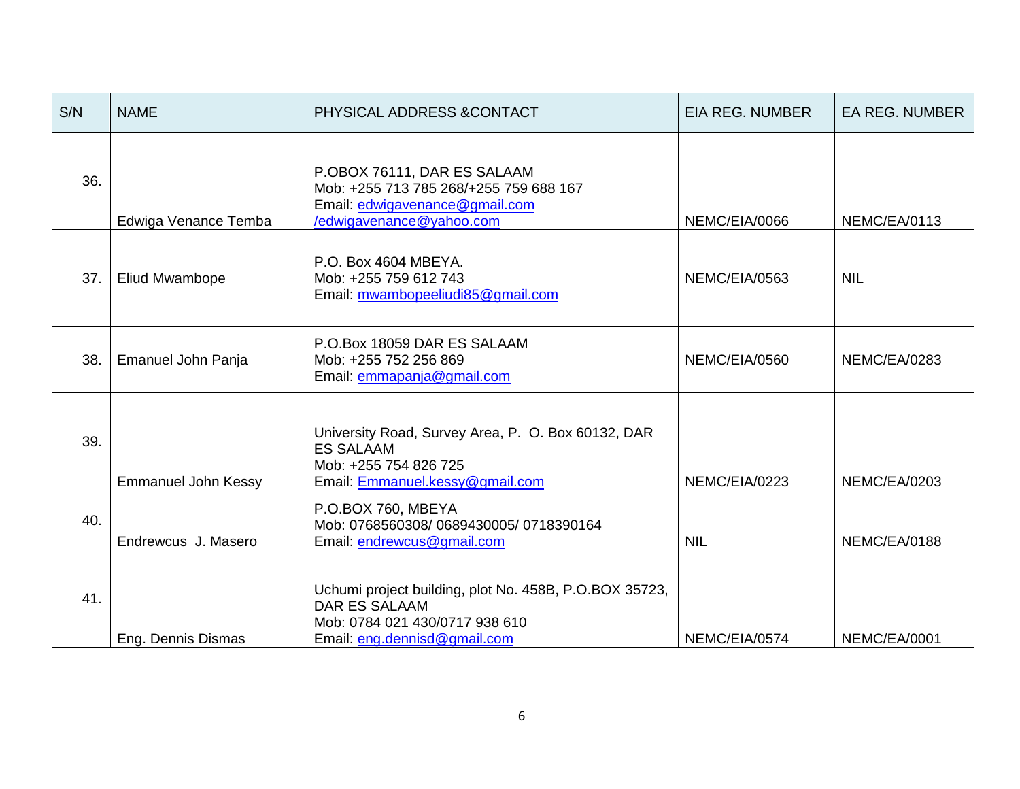| S/N | <b>NAME</b>                | PHYSICAL ADDRESS & CONTACT                                                                                                                       | <b>EIA REG. NUMBER</b> | <b>EA REG. NUMBER</b> |
|-----|----------------------------|--------------------------------------------------------------------------------------------------------------------------------------------------|------------------------|-----------------------|
| 36. | Edwiga Venance Temba       | P.OBOX 76111, DAR ES SALAAM<br>Mob: +255 713 785 268/+255 759 688 167<br>Email: edwigavenance@gmail.com<br>/edwigavenance@yahoo.com              | NEMC/EIA/0066          | NEMC/EA/0113          |
| 37. | <b>Eliud Mwambope</b>      | P.O. Box 4604 MBEYA.<br>Mob: +255 759 612 743<br>Email: mwambopeeliudi85@gmail.com                                                               | NEMC/EIA/0563          | <b>NIL</b>            |
| 38. | Emanuel John Panja         | P.O.Box 18059 DAR ES SALAAM<br>Mob: +255 752 256 869<br>Email: emmapanja@gmail.com                                                               | NEMC/EIA/0560          | <b>NEMC/EA/0283</b>   |
| 39. | <b>Emmanuel John Kessy</b> | University Road, Survey Area, P. O. Box 60132, DAR<br><b>ES SALAAM</b><br>Mob: +255 754 826 725<br>Email: Emmanuel.kessy@gmail.com               | NEMC/EIA/0223          | <b>NEMC/EA/0203</b>   |
| 40. | Endrewcus J. Masero        | P.O.BOX 760, MBEYA<br>Mob: 0768560308/0689430005/0718390164<br>Email: endrewcus@gmail.com                                                        | <b>NIL</b>             | NEMC/EA/0188          |
| 41. | Eng. Dennis Dismas         | Uchumi project building, plot No. 458B, P.O.BOX 35723,<br><b>DAR ES SALAAM</b><br>Mob: 0784 021 430/0717 938 610<br>Email: eng.dennisd@gmail.com | NEMC/EIA/0574          | NEMC/EA/0001          |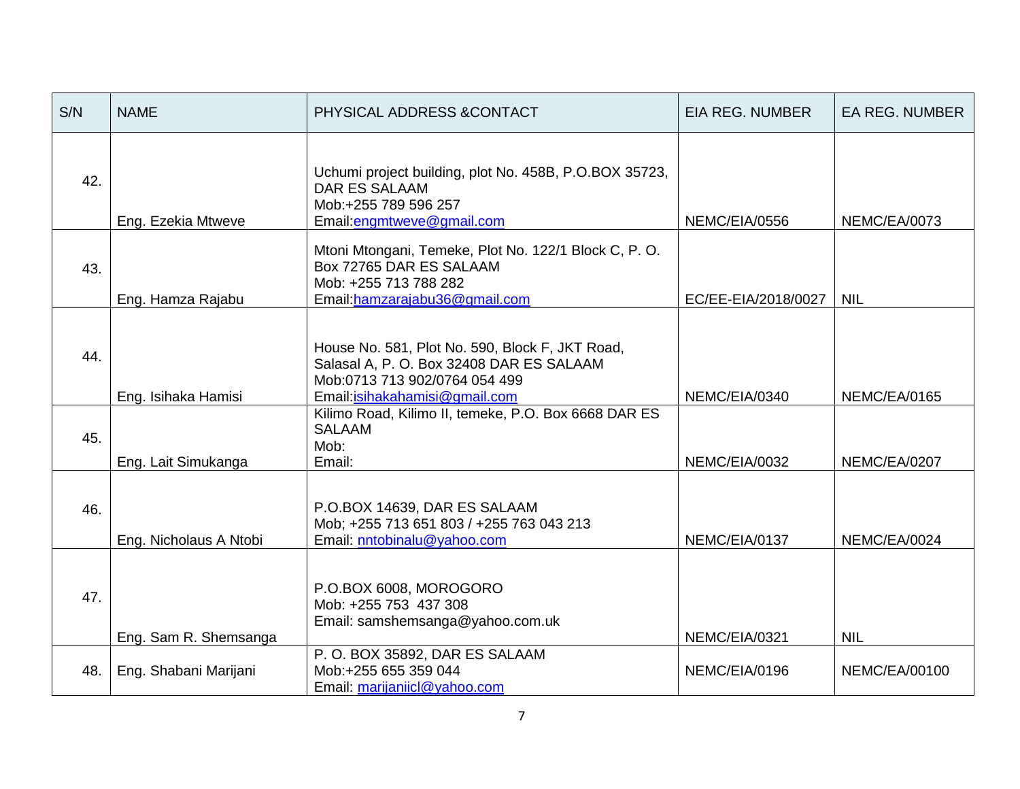| S/N | <b>NAME</b>            | PHYSICAL ADDRESS & CONTACT                                                                                                                                     | <b>EIA REG. NUMBER</b> | <b>EA REG. NUMBER</b> |
|-----|------------------------|----------------------------------------------------------------------------------------------------------------------------------------------------------------|------------------------|-----------------------|
| 42. | Eng. Ezekia Mtweve     | Uchumi project building, plot No. 458B, P.O.BOX 35723,<br><b>DAR ES SALAAM</b><br>Mob:+255 789 596 257<br>Email: engmtweve@gmail.com                           | NEMC/EIA/0556          | NEMC/EA/0073          |
| 43. | Eng. Hamza Rajabu      | Mtoni Mtongani, Temeke, Plot No. 122/1 Block C, P. O.<br>Box 72765 DAR ES SALAAM<br>Mob: +255 713 788 282<br>Email: hamzarajabu36@gmail.com                    | EC/EE-EIA/2018/0027    | <b>NIL</b>            |
| 44. | Eng. Isihaka Hamisi    | House No. 581, Plot No. 590, Block F, JKT Road,<br>Salasal A, P. O. Box 32408 DAR ES SALAAM<br>Mob:0713 713 902/0764 054 499<br>Email: isihakahamisi@gmail.com | NEMC/EIA/0340          | NEMC/EA/0165          |
| 45. | Eng. Lait Simukanga    | Kilimo Road, Kilimo II, temeke, P.O. Box 6668 DAR ES<br><b>SALAAM</b><br>Mob:<br>Email:                                                                        | NEMC/EIA/0032          | NEMC/EA/0207          |
| 46. | Eng. Nicholaus A Ntobi | P.O.BOX 14639, DAR ES SALAAM<br>Mob; +255 713 651 803 / +255 763 043 213<br>Email: nntobinalu@yahoo.com                                                        | NEMC/EIA/0137          | NEMC/EA/0024          |
| 47. | Eng. Sam R. Shemsanga  | P.O.BOX 6008, MOROGORO<br>Mob: +255 753 437 308<br>Email: samshemsanga@yahoo.com.uk                                                                            | NEMC/EIA/0321          | <b>NIL</b>            |
| 48. | Eng. Shabani Marijani  | P.O. BOX 35892, DAR ES SALAAM<br>Mob:+255 655 359 044<br>Email: marijaniicl@yahoo.com                                                                          | NEMC/EIA/0196          | NEMC/EA/00100         |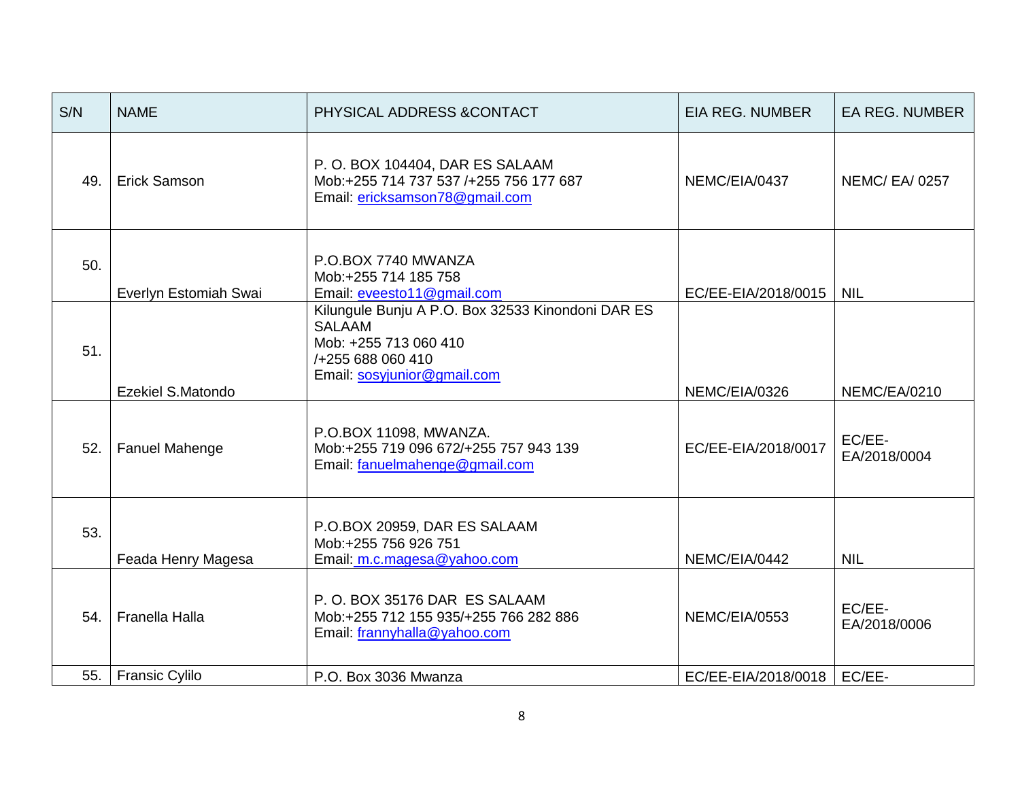| S/N | <b>NAME</b>           | PHYSICAL ADDRESS & CONTACT                                                                                                                      | <b>EIA REG. NUMBER</b> | <b>EA REG. NUMBER</b>  |
|-----|-----------------------|-------------------------------------------------------------------------------------------------------------------------------------------------|------------------------|------------------------|
| 49. | Erick Samson          | P.O. BOX 104404, DAR ES SALAAM<br>Mob:+255 714 737 537 /+255 756 177 687<br>Email: ericksamson78@gmail.com                                      | NEMC/EIA/0437          | <b>NEMC/ EA/ 0257</b>  |
| 50. | Everlyn Estomiah Swai | P.O.BOX 7740 MWANZA<br>Mob:+255 714 185 758<br>Email: eveesto11@gmail.com                                                                       | EC/EE-EIA/2018/0015    | <b>NIL</b>             |
| 51. | Ezekiel S.Matondo     | Kilungule Bunju A P.O. Box 32533 Kinondoni DAR ES<br><b>SALAAM</b><br>Mob: +255 713 060 410<br>/+255 688 060 410<br>Email: sosyjunior@gmail.com | NEMC/EIA/0326          | NEMC/EA/0210           |
| 52. | Fanuel Mahenge        | P.O.BOX 11098, MWANZA.<br>Mob:+255 719 096 672/+255 757 943 139<br>Email: fanuelmahenge@gmail.com                                               | EC/EE-EIA/2018/0017    | EC/EE-<br>EA/2018/0004 |
| 53. | Feada Henry Magesa    | P.O.BOX 20959, DAR ES SALAAM<br>Mob:+255 756 926 751<br>Email: m.c.magesa@yahoo.com                                                             | NEMC/EIA/0442          | <b>NIL</b>             |
| 54. | <b>Franella Halla</b> | P.O. BOX 35176 DAR ES SALAAM<br>Mob:+255 712 155 935/+255 766 282 886<br>Email: frannyhalla@yahoo.com                                           | NEMC/EIA/0553          | EC/EE-<br>EA/2018/0006 |
| 55. | <b>Fransic Cylilo</b> | P.O. Box 3036 Mwanza                                                                                                                            | EC/EE-EIA/2018/0018    | EC/EE-                 |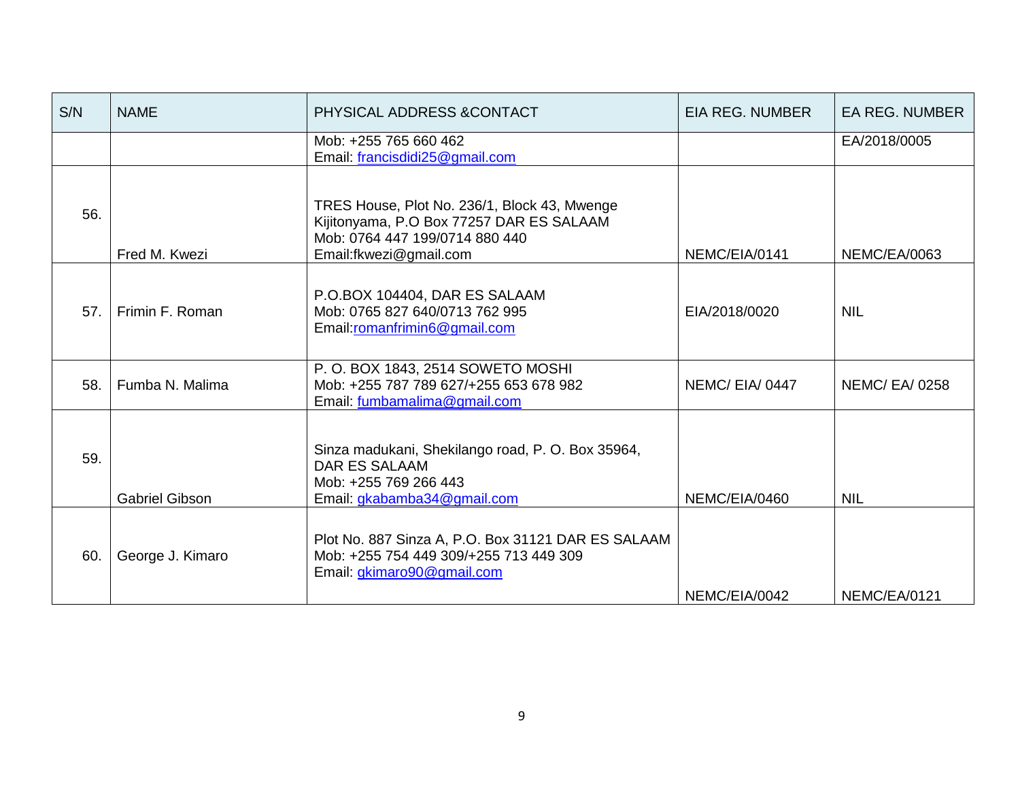| S/N | <b>NAME</b>           | PHYSICAL ADDRESS & CONTACT                                                                                                                           | <b>EIA REG. NUMBER</b> | <b>EA REG. NUMBER</b> |
|-----|-----------------------|------------------------------------------------------------------------------------------------------------------------------------------------------|------------------------|-----------------------|
|     |                       | Mob: +255 765 660 462<br>Email: francisdidi25@gmail.com                                                                                              |                        | EA/2018/0005          |
| 56. | Fred M. Kwezi         | TRES House, Plot No. 236/1, Block 43, Mwenge<br>Kijitonyama, P.O Box 77257 DAR ES SALAAM<br>Mob: 0764 447 199/0714 880 440<br>Email:fkwezi@gmail.com | NEMC/EIA/0141          | NEMC/EA/0063          |
| 57. | Frimin F. Roman       | P.O.BOX 104404, DAR ES SALAAM<br>Mob: 0765 827 640/0713 762 995<br>Email:romanfrimin6@gmail.com                                                      | EIA/2018/0020          | <b>NIL</b>            |
| 58. | Fumba N. Malima       | P. O. BOX 1843, 2514 SOWETO MOSHI<br>Mob: +255 787 789 627/+255 653 678 982<br>Email: fumbamalima@gmail.com                                          | NEMC/EIA/0447          | <b>NEMC/ EA/ 0258</b> |
| 59. | <b>Gabriel Gibson</b> | Sinza madukani, Shekilango road, P. O. Box 35964,<br><b>DAR ES SALAAM</b><br>Mob: +255 769 266 443<br>Email: gkabamba34@gmail.com                    | NEMC/EIA/0460          | <b>NIL</b>            |
| 60. | George J. Kimaro      | Plot No. 887 Sinza A, P.O. Box 31121 DAR ES SALAAM<br>Mob: +255 754 449 309/+255 713 449 309<br>Email: gkimaro90@gmail.com                           | NEMC/EIA/0042          | NEMC/EA/0121          |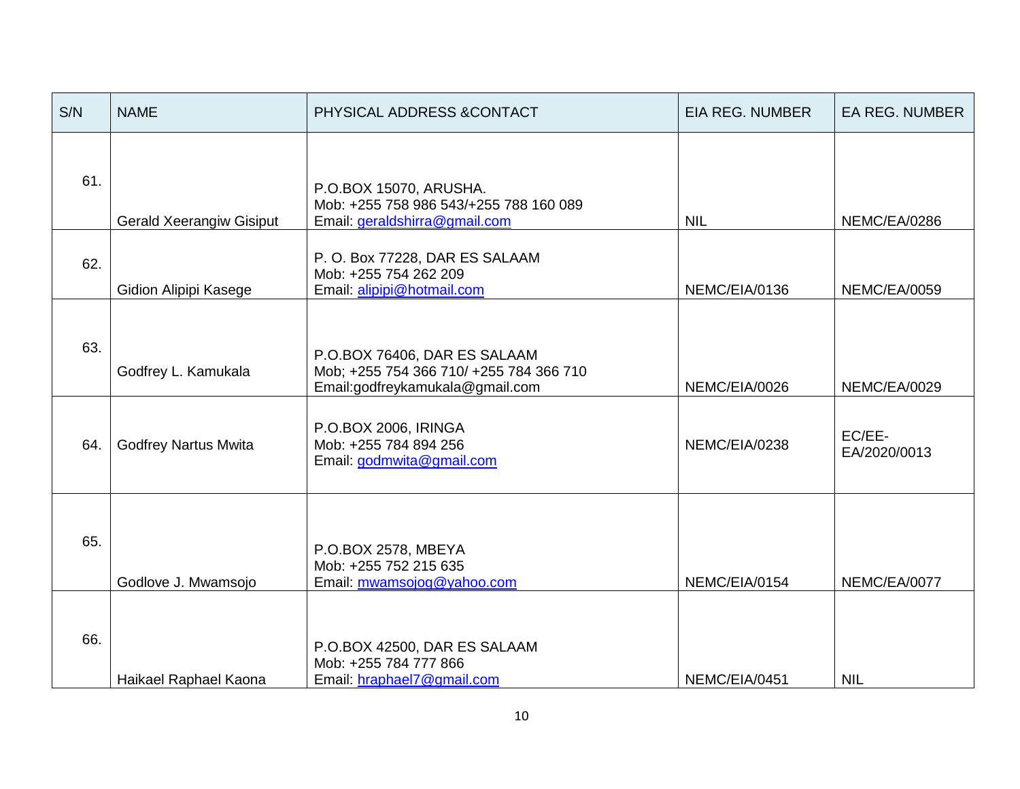| S/N | <b>NAME</b>                     | PHYSICAL ADDRESS &CONTACT                                                                                  | <b>EIA REG. NUMBER</b> | <b>EA REG. NUMBER</b>  |
|-----|---------------------------------|------------------------------------------------------------------------------------------------------------|------------------------|------------------------|
| 61. | <b>Gerald Xeerangiw Gisiput</b> | P.O.BOX 15070, ARUSHA.<br>Mob: +255 758 986 543/+255 788 160 089<br>Email: geraldshirra@gmail.com          | <b>NIL</b>             | NEMC/EA/0286           |
| 62. | Gidion Alipipi Kasege           | P.O. Box 77228, DAR ES SALAAM<br>Mob: +255 754 262 209<br>Email: alipipi@hotmail.com                       | NEMC/EIA/0136          | <b>NEMC/EA/0059</b>    |
| 63. | Godfrey L. Kamukala             | P.O.BOX 76406, DAR ES SALAAM<br>Mob; +255 754 366 710/ +255 784 366 710<br>Email:godfreykamukala@gmail.com | NEMC/EIA/0026          | NEMC/EA/0029           |
| 64. | <b>Godfrey Nartus Mwita</b>     | P.O.BOX 2006, IRINGA<br>Mob: +255 784 894 256<br>Email: godmwita@gmail.com                                 | NEMC/EIA/0238          | EC/EE-<br>EA/2020/0013 |
| 65. | Godlove J. Mwamsojo             | P.O.BOX 2578, MBEYA<br>Mob: +255 752 215 635<br>Email: mwamsojog@yahoo.com                                 | NEMC/EIA/0154          | NEMC/EA/0077           |
| 66. | Haikael Raphael Kaona           | P.O.BOX 42500, DAR ES SALAAM<br>Mob: +255 784 777 866<br>Email: hraphael7@gmail.com                        | NEMC/EIA/0451          | <b>NIL</b>             |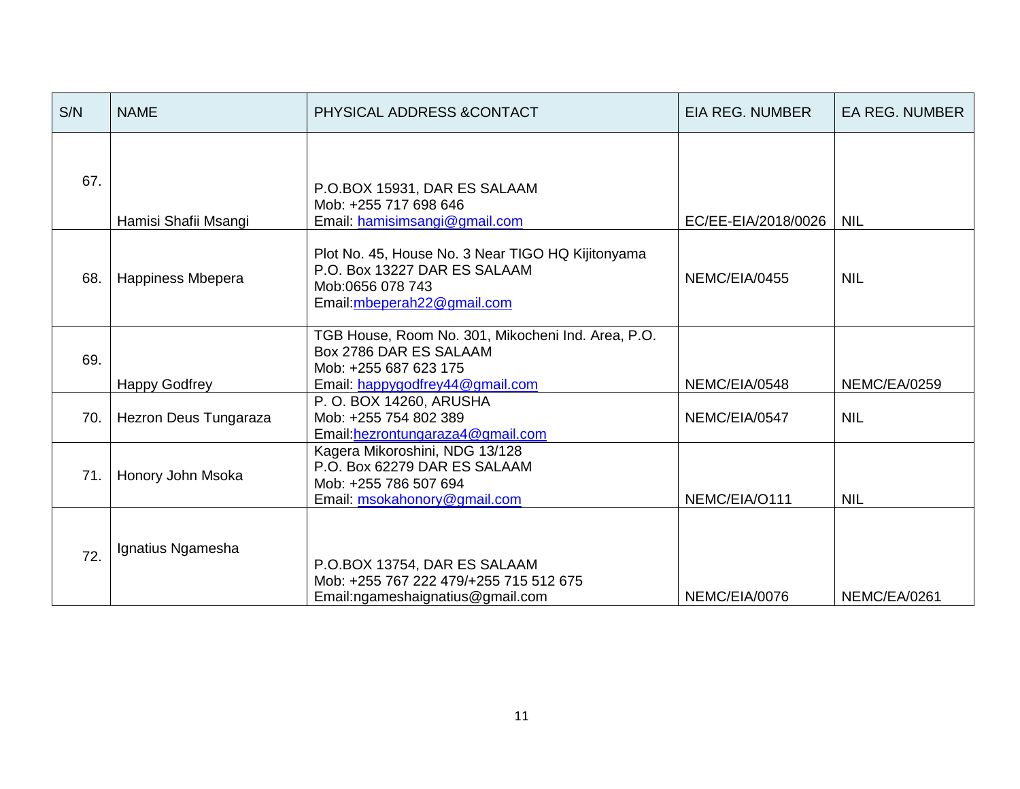| S/N | <b>NAME</b>           | PHYSICAL ADDRESS & CONTACT                                                                                                               | <b>EIA REG. NUMBER</b> | <b>EA REG. NUMBER</b> |
|-----|-----------------------|------------------------------------------------------------------------------------------------------------------------------------------|------------------------|-----------------------|
| 67. | Hamisi Shafii Msangi  | P.O.BOX 15931, DAR ES SALAAM<br>Mob: +255 717 698 646<br>Email: hamisimsangi@gmail.com                                                   | EC/EE-EIA/2018/0026    | <b>NIL</b>            |
| 68. | Happiness Mbepera     | Plot No. 45, House No. 3 Near TIGO HQ Kijitonyama<br>P.O. Box 13227 DAR ES SALAAM<br>Mob:0656 078 743<br>Email: mbeperah22@gmail.com     | NEMC/EIA/0455          | <b>NIL</b>            |
| 69. | <b>Happy Godfrey</b>  | TGB House, Room No. 301, Mikocheni Ind. Area, P.O.<br>Box 2786 DAR ES SALAAM<br>Mob: +255 687 623 175<br>Email: happygodfrey44@gmail.com | NEMC/EIA/0548          | <b>NEMC/EA/0259</b>   |
| 70. | Hezron Deus Tungaraza | P. O. BOX 14260, ARUSHA<br>Mob: +255 754 802 389<br>Email: hezrontungaraza4@gmail.com                                                    | NEMC/EIA/0547          | <b>NIL</b>            |
| 71. | Honory John Msoka     | Kagera Mikoroshini, NDG 13/128<br>P.O. Box 62279 DAR ES SALAAM<br>Mob: +255 786 507 694<br>Email: msokahonory@gmail.com                  | NEMC/EIA/O111          | <b>NIL</b>            |
| 72. | Ignatius Ngamesha     | P.O.BOX 13754, DAR ES SALAAM<br>Mob: +255 767 222 479/+255 715 512 675<br>Email:ngameshaignatius@gmail.com                               | NEMC/EIA/0076          | NEMC/EA/0261          |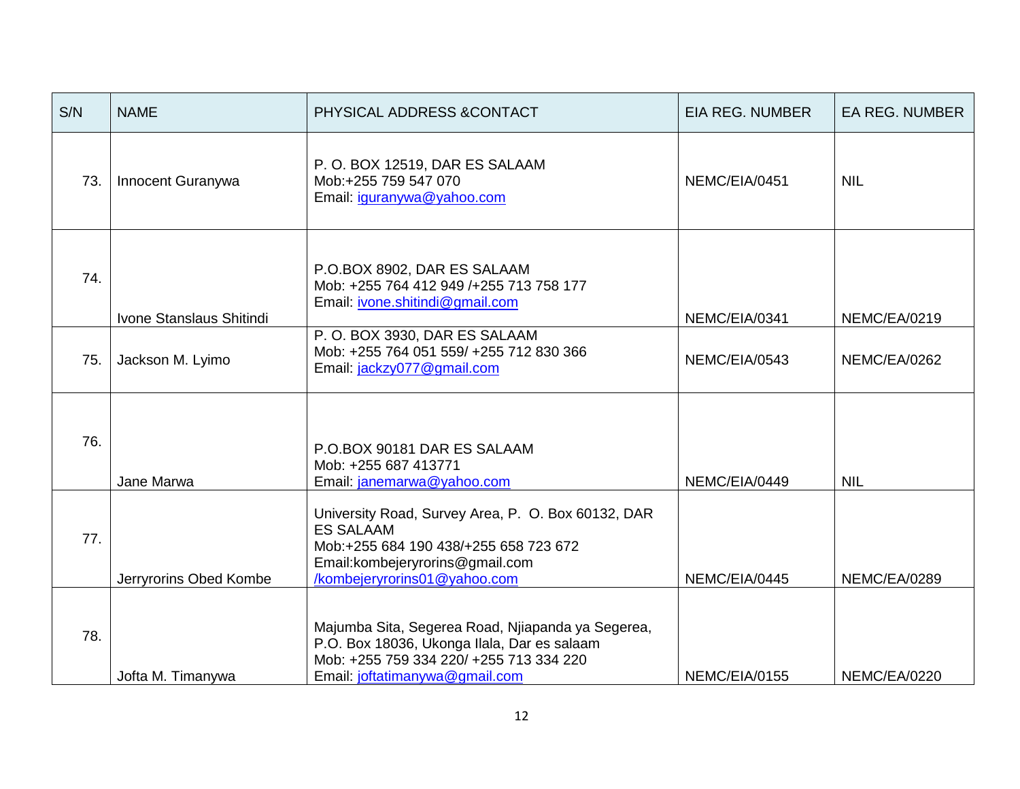| S/N | <b>NAME</b>              | PHYSICAL ADDRESS & CONTACT                                                                                                                                                          | <b>EIA REG. NUMBER</b> | <b>EA REG. NUMBER</b> |
|-----|--------------------------|-------------------------------------------------------------------------------------------------------------------------------------------------------------------------------------|------------------------|-----------------------|
| 73. | Innocent Guranywa        | P.O. BOX 12519, DAR ES SALAAM<br>Mob:+255 759 547 070<br>Email: iguranywa@yahoo.com                                                                                                 | NEMC/EIA/0451          | <b>NIL</b>            |
| 74. | Ivone Stanslaus Shitindi | P.O.BOX 8902, DAR ES SALAAM<br>Mob: +255 764 412 949 /+255 713 758 177<br>Email: ivone.shitindi@gmail.com                                                                           | NEMC/EIA/0341          | NEMC/EA/0219          |
| 75. | Jackson M. Lyimo         | P.O. BOX 3930, DAR ES SALAAM<br>Mob: +255 764 051 559/ +255 712 830 366<br>Email: jackzy077@gmail.com                                                                               | NEMC/EIA/0543          | NEMC/EA/0262          |
| 76. | Jane Marwa               | P.O.BOX 90181 DAR ES SALAAM<br>Mob: +255 687 413771<br>Email: janemarwa@yahoo.com                                                                                                   | NEMC/EIA/0449          | <b>NIL</b>            |
| 77. | Jerryrorins Obed Kombe   | University Road, Survey Area, P. O. Box 60132, DAR<br><b>ES SALAAM</b><br>Mob:+255 684 190 438/+255 658 723 672<br>Email: kombejeryrorins@gmail.com<br>/kombejeryrorins01@yahoo.com | NEMC/EIA/0445          | NEMC/EA/0289          |
| 78. | Jofta M. Timanywa        | Majumba Sita, Segerea Road, Njiapanda ya Segerea,<br>P.O. Box 18036, Ukonga Ilala, Dar es salaam<br>Mob: +255 759 334 220/ +255 713 334 220<br>Email: joftatimanywa@gmail.com       | NEMC/EIA/0155          | <b>NEMC/EA/0220</b>   |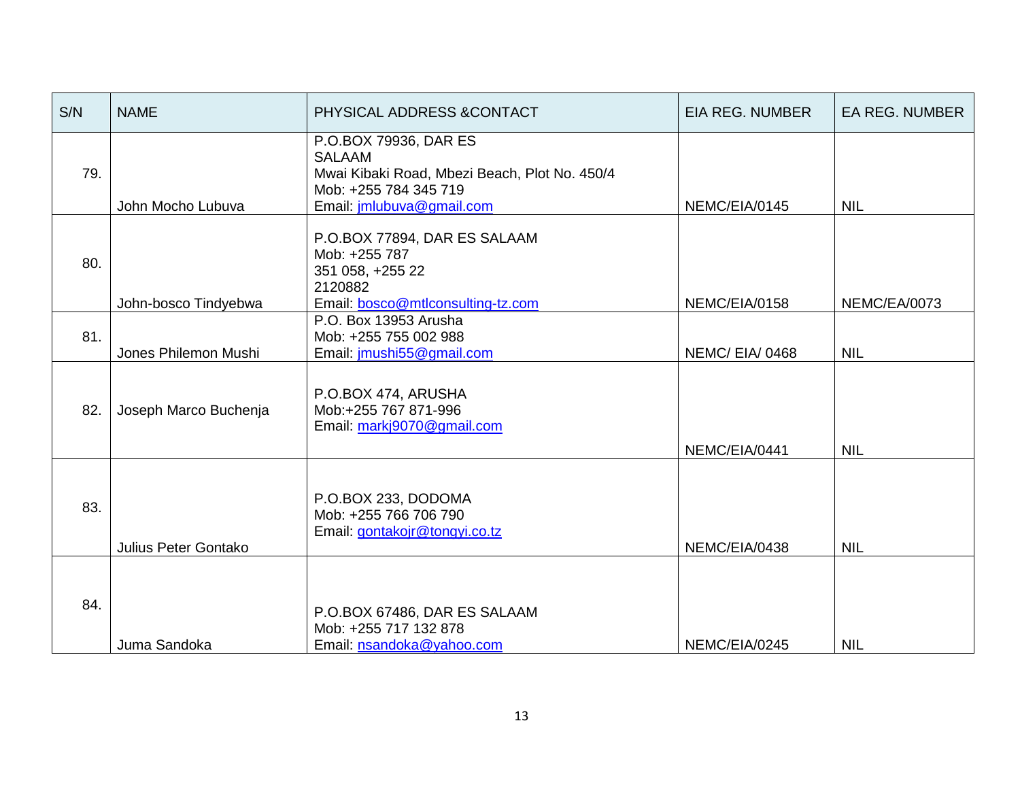| S/N                         | <b>NAME</b>                                                                                                                               | PHYSICAL ADDRESS & CONTACT                                                                                                                    | EIA REG. NUMBER | EA REG. NUMBER      |
|-----------------------------|-------------------------------------------------------------------------------------------------------------------------------------------|-----------------------------------------------------------------------------------------------------------------------------------------------|-----------------|---------------------|
| 79.                         | John Mocho Lubuva                                                                                                                         | P.O.BOX 79936, DAR ES<br><b>SALAAM</b><br>Mwai Kibaki Road, Mbezi Beach, Plot No. 450/4<br>Mob: +255 784 345 719<br>Email: jmlubuva@gmail.com | NEMC/EIA/0145   | <b>NIL</b>          |
| 80.                         | P.O.BOX 77894, DAR ES SALAAM<br>Mob: +255 787<br>351 058, +255 22<br>2120882<br>Email: bosco@mtlconsulting-tz.com<br>John-bosco Tindyebwa |                                                                                                                                               | NEMC/EIA/0158   | <b>NEMC/EA/0073</b> |
| 81.                         | Jones Philemon Mushi                                                                                                                      | P.O. Box 13953 Arusha<br>Mob: +255 755 002 988<br>Email: jmushi55@gmail.com                                                                   |                 | <b>NIL</b>          |
| 82.                         | P.O.BOX 474, ARUSHA<br>Mob:+255 767 871-996<br>Joseph Marco Buchenja<br>Email: markj9070@gmail.com                                        |                                                                                                                                               | NEMC/EIA/0441   | <b>NIL</b>          |
| 83.<br>Julius Peter Gontako |                                                                                                                                           | P.O.BOX 233, DODOMA<br>Mob: +255 766 706 790<br>Email: gontakojr@tongyi.co.tz                                                                 | NEMC/EIA/0438   | <b>NIL</b>          |
| 84.                         | P.O.BOX 67486, DAR ES SALAAM<br>Mob: +255 717 132 878<br>Juma Sandoka<br>Email: nsandoka@yahoo.com                                        |                                                                                                                                               | NEMC/EIA/0245   | <b>NIL</b>          |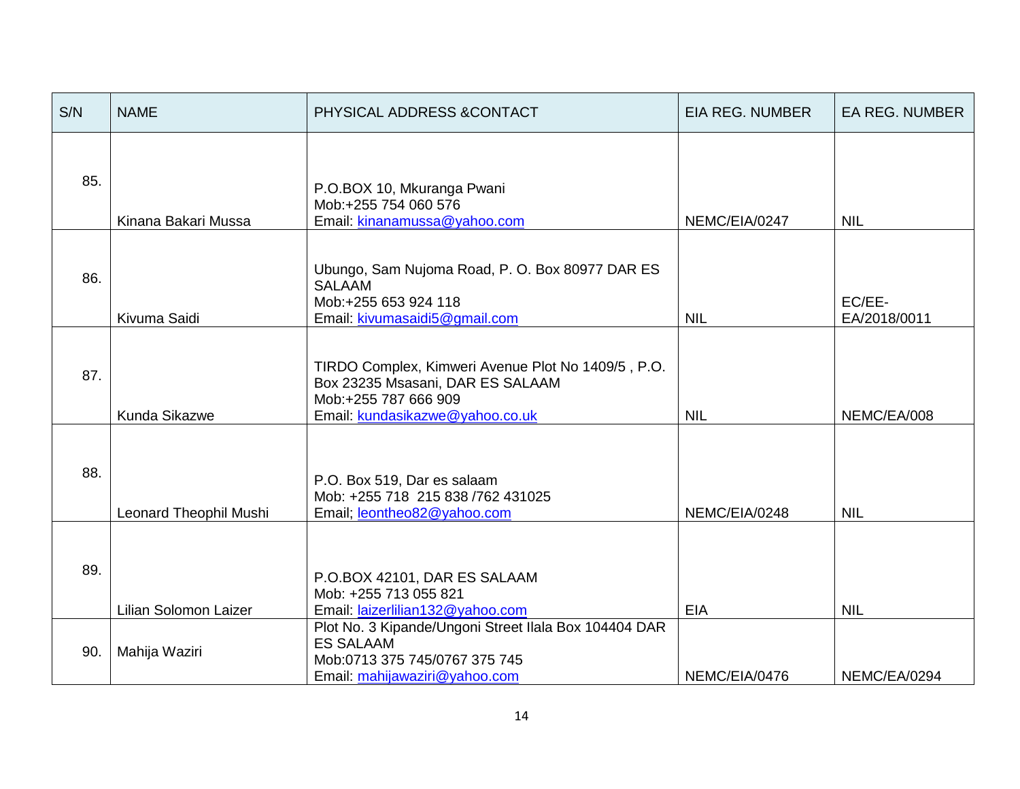| S/N | <b>NAME</b>                                                                                                                                                        | PHYSICAL ADDRESS & CONTACT                                                                                                | <b>EIA REG. NUMBER</b> | <b>EA REG. NUMBER</b>  |
|-----|--------------------------------------------------------------------------------------------------------------------------------------------------------------------|---------------------------------------------------------------------------------------------------------------------------|------------------------|------------------------|
| 85. | P.O.BOX 10, Mkuranga Pwani<br>Mob:+255 754 060 576<br>Email: kinanamussa@yahoo.com<br>Kinana Bakari Mussa                                                          |                                                                                                                           | NEMC/EIA/0247          | <b>NIL</b>             |
| 86. | Kivuma Saidi                                                                                                                                                       | Ubungo, Sam Nujoma Road, P. O. Box 80977 DAR ES<br><b>SALAAM</b><br>Mob:+255 653 924 118<br>Email: kivumasaidi5@gmail.com |                        | EC/EE-<br>EA/2018/0011 |
| 87. | TIRDO Complex, Kimweri Avenue Plot No 1409/5, P.O.<br>Box 23235 Msasani, DAR ES SALAAM<br>Mob:+255 787 666 909<br>Kunda Sikazwe<br>Email: kundasikazwe@yahoo.co.uk |                                                                                                                           | <b>NIL</b>             | NEMC/EA/008            |
| 88. | P.O. Box 519, Dar es salaam<br>Mob: +255 718 215 838 /762 431025<br>Leonard Theophil Mushi<br>Email; leontheo82@yahoo.com                                          |                                                                                                                           | NEMC/EIA/0248          | <b>NIL</b>             |
| 89. | P.O.BOX 42101, DAR ES SALAAM<br>Mob: +255 713 055 821<br>Lilian Solomon Laizer<br>Email: laizerlilian132@yahoo.com                                                 |                                                                                                                           | <b>EIA</b>             | <b>NIL</b>             |
| 90. | Plot No. 3 Kipande/Ungoni Street Ilala Box 104404 DAR<br><b>ES SALAAM</b><br>Mahija Waziri<br>Mob:0713 375 745/0767 375 745<br>Email: mahijawaziri@yahoo.com       |                                                                                                                           | NEMC/EIA/0476          | NEMC/EA/0294           |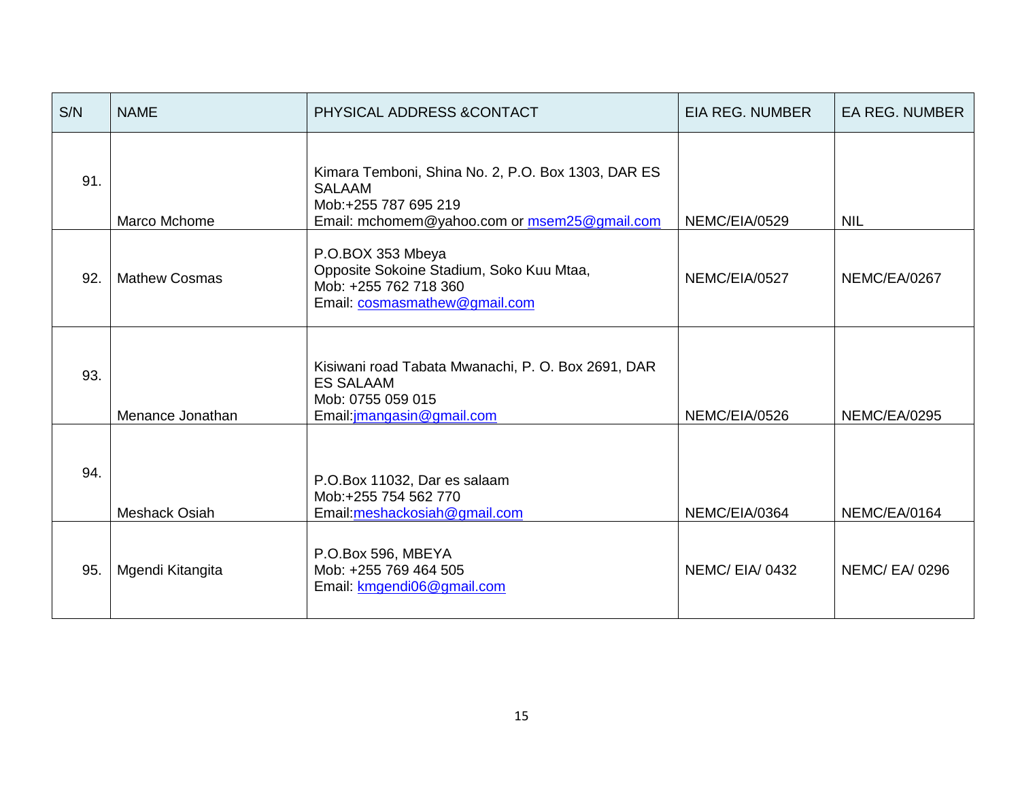| S/N | <b>NAME</b>          | PHYSICAL ADDRESS & CONTACT                                                                                                                  | <b>EIA REG. NUMBER</b> | <b>EA REG. NUMBER</b> |
|-----|----------------------|---------------------------------------------------------------------------------------------------------------------------------------------|------------------------|-----------------------|
| 91. | Marco Mchome         | Kimara Temboni, Shina No. 2, P.O. Box 1303, DAR ES<br><b>SALAAM</b><br>Mob:+255 787 695 219<br>Email: mchomem@yahoo.com or msem25@gmail.com | NEMC/EIA/0529          | <b>NIL</b>            |
| 92. | <b>Mathew Cosmas</b> | P.O.BOX 353 Mbeya<br>Opposite Sokoine Stadium, Soko Kuu Mtaa,<br>Mob: +255 762 718 360<br>Email: cosmasmathew@gmail.com                     | NEMC/EIA/0527          | NEMC/EA/0267          |
| 93. | Menance Jonathan     | Kisiwani road Tabata Mwanachi, P. O. Box 2691, DAR<br><b>ES SALAAM</b><br>Mob: 0755 059 015<br>Email: jmangasin@gmail.com                   | NEMC/EIA/0526          | <b>NEMC/EA/0295</b>   |
| 94. | <b>Meshack Osiah</b> | P.O.Box 11032, Dar es salaam<br>Mob:+255 754 562 770<br>Email: meshackosiah@gmail.com                                                       |                        | NEMC/EA/0164          |
| 95. | Mgendi Kitangita     | P.O.Box 596, MBEYA<br>Mob: +255 769 464 505<br>Email: kmgendi06@gmail.com                                                                   | NEMC/EIA/0432          | <b>NEMC/EA/0296</b>   |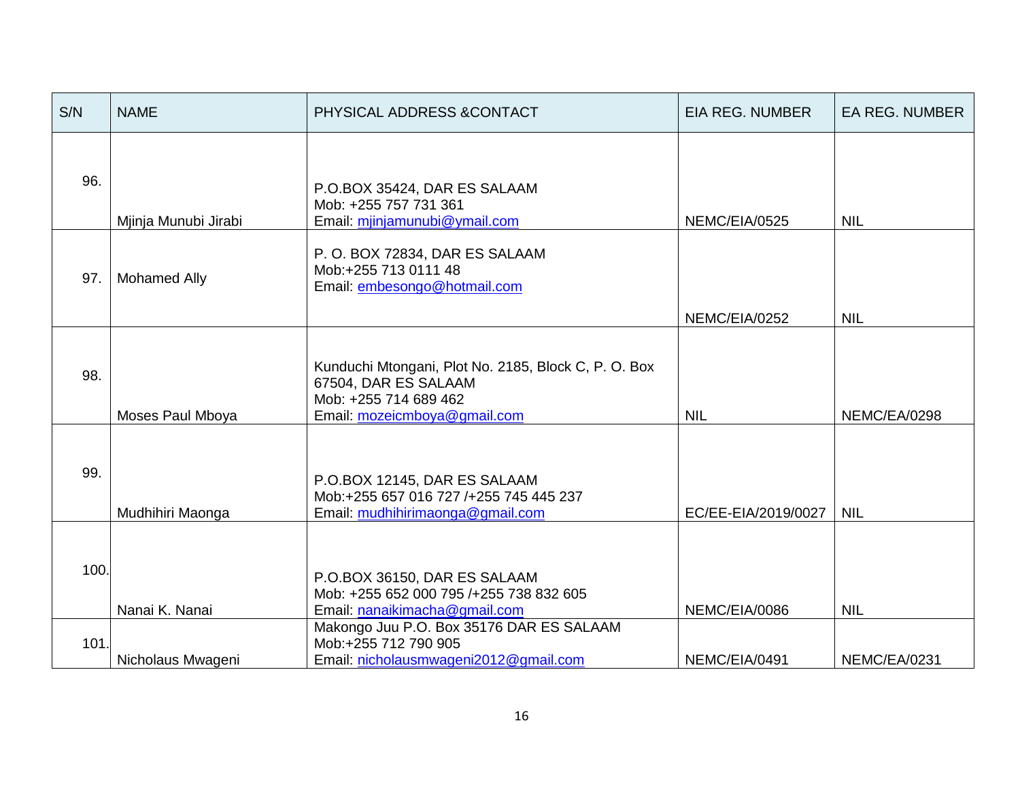| S/N  | <b>NAME</b>                                                                                                                    | PHYSICAL ADDRESS & CONTACT                                                                                                            | <b>EIA REG. NUMBER</b> | <b>EA REG. NUMBER</b> |
|------|--------------------------------------------------------------------------------------------------------------------------------|---------------------------------------------------------------------------------------------------------------------------------------|------------------------|-----------------------|
| 96.  | Mjinja Munubi Jirabi                                                                                                           | P.O.BOX 35424, DAR ES SALAAM<br>Mob: +255 757 731 361<br>Email: mjinjamunubi@ymail.com                                                | NEMC/EIA/0525          | <b>NIL</b>            |
| 97.  | <b>Mohamed Ally</b>                                                                                                            | P.O. BOX 72834, DAR ES SALAAM<br>Mob:+255 713 0111 48<br>Email: embesongo@hotmail.com                                                 | NEMC/EIA/0252          | <b>NIL</b>            |
| 98.  | Moses Paul Mboya                                                                                                               | Kunduchi Mtongani, Plot No. 2185, Block C, P. O. Box<br>67504, DAR ES SALAAM<br>Mob: +255 714 689 462<br>Email: mozeicmboya@gmail.com | <b>NIL</b>             | NEMC/EA/0298          |
| 99.  | Mudhihiri Maonga                                                                                                               | P.O.BOX 12145, DAR ES SALAAM<br>Mob:+255 657 016 727 /+255 745 445 237<br>Email: mudhihirimaonga@gmail.com                            | EC/EE-EIA/2019/0027    | <b>NIL</b>            |
| 100. | Nanai K. Nanai                                                                                                                 | P.O.BOX 36150, DAR ES SALAAM<br>Mob: +255 652 000 795 /+255 738 832 605<br>Email: nanaikimacha@gmail.com                              | NEMC/EIA/0086          | <b>NIL</b>            |
| 101. | Makongo Juu P.O. Box 35176 DAR ES SALAAM<br>Mob:+255 712 790 905<br>Email: nicholausmwageni2012@gmail.com<br>Nicholaus Mwageni |                                                                                                                                       | NEMC/EIA/0491          | NEMC/EA/0231          |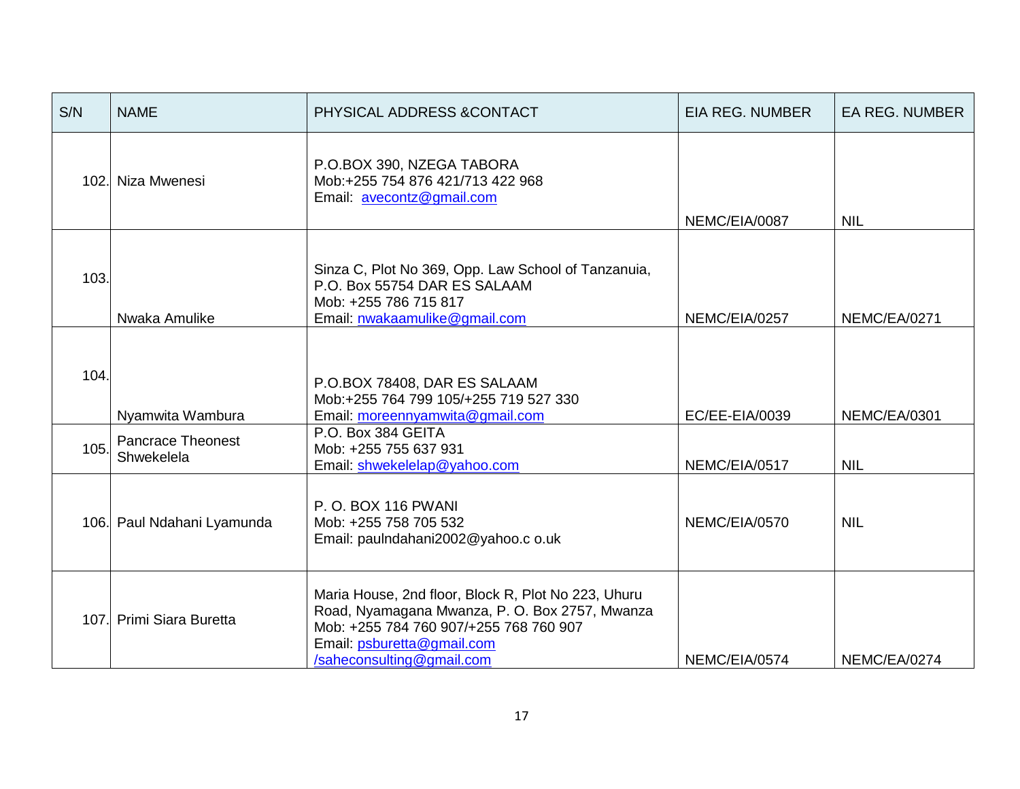| S/N                      | <b>NAME</b>                                                                                                                          | PHYSICAL ADDRESS & CONTACT                                                                                                                                                                                 | <b>EIA REG. NUMBER</b> | <b>EA REG. NUMBER</b> |
|--------------------------|--------------------------------------------------------------------------------------------------------------------------------------|------------------------------------------------------------------------------------------------------------------------------------------------------------------------------------------------------------|------------------------|-----------------------|
|                          | 102. Niza Mwenesi                                                                                                                    | P.O.BOX 390, NZEGA TABORA<br>Mob:+255 754 876 421/713 422 968<br>Email: avecontz@gmail.com                                                                                                                 | NEMC/EIA/0087          | <b>NIL</b>            |
| 103.                     | Nwaka Amulike                                                                                                                        | Sinza C, Plot No 369, Opp. Law School of Tanzanuia,<br>P.O. Box 55754 DAR ES SALAAM<br>Mob: +255 786 715 817<br>Email: nwakaamulike@gmail.com<br>NEMC/EIA/0257                                             |                        | NEMC/EA/0271          |
|                          | 104.<br>P.O.BOX 78408, DAR ES SALAAM<br>Mob:+255 764 799 105/+255 719 527 330<br>Email: moreennyamwita@gmail.com<br>Nyamwita Wambura |                                                                                                                                                                                                            | EC/EE-EIA/0039         | NEMC/EA/0301          |
| 105.                     | P.O. Box 384 GEITA<br><b>Pancrace Theonest</b><br>Mob: +255 755 637 931<br>Shwekelela<br>Email: shwekelelap@yahoo.com                |                                                                                                                                                                                                            | NEMC/EIA/0517          | <b>NIL</b>            |
|                          | P.O. BOX 116 PWANI<br>106. Paul Ndahani Lyamunda<br>Mob: +255 758 705 532<br>Email: paulndahani2002@yahoo.c o.uk                     |                                                                                                                                                                                                            | NEMC/EIA/0570          | <b>NIL</b>            |
| 107. Primi Siara Buretta |                                                                                                                                      | Maria House, 2nd floor, Block R, Plot No 223, Uhuru<br>Road, Nyamagana Mwanza, P. O. Box 2757, Mwanza<br>Mob: +255 784 760 907/+255 768 760 907<br>Email: psburetta@gmail.com<br>/saheconsulting@gmail.com | NEMC/EIA/0574          | NEMC/EA/0274          |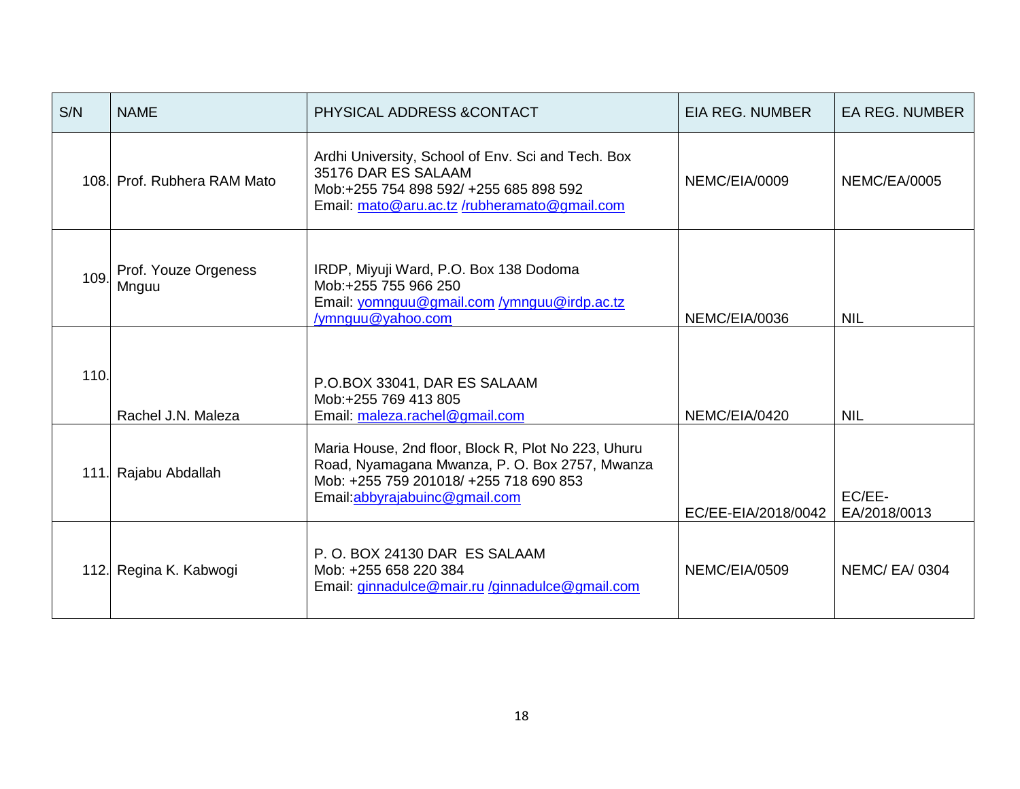| S/N  | <b>NAME</b>                                                                                                                        | PHYSICAL ADDRESS & CONTACT                                                                                                                                                       | <b>EIA REG. NUMBER</b> | <b>EA REG. NUMBER</b>  |
|------|------------------------------------------------------------------------------------------------------------------------------------|----------------------------------------------------------------------------------------------------------------------------------------------------------------------------------|------------------------|------------------------|
|      | 108. Prof. Rubhera RAM Mato                                                                                                        | Ardhi University, School of Env. Sci and Tech. Box<br>35176 DAR ES SALAAM<br>Mob:+255 754 898 592/ +255 685 898 592<br>Email: mato@aru.ac.tz/rubheramato@gmail.com               | NEMC/EIA/0009          | <b>NEMC/EA/0005</b>    |
| 109. | Prof. Youze Orgeness<br>Mnguu                                                                                                      | IRDP, Miyuji Ward, P.O. Box 138 Dodoma<br>Mob:+255 755 966 250<br>Email: yomnguu@gmail.com /ymnguu@irdp.ac.tz<br>/ymnguu@yahoo.com                                               | NEMC/EIA/0036          | <b>NIL</b>             |
| 110. | Rachel J.N. Maleza                                                                                                                 | P.O.BOX 33041, DAR ES SALAAM<br>Mob:+255 769 413 805<br>Email: maleza.rachel@gmail.com                                                                                           | NEMC/EIA/0420          | <b>NIL</b>             |
|      | 111. Rajabu Abdallah                                                                                                               | Maria House, 2nd floor, Block R, Plot No 223, Uhuru<br>Road, Nyamagana Mwanza, P. O. Box 2757, Mwanza<br>Mob: +255 759 201018/ +255 718 690 853<br>Email:abbyrajabuinc@gmail.com | EC/EE-EIA/2018/0042    | EC/EE-<br>EA/2018/0013 |
|      | P.O. BOX 24130 DAR ES SALAAM<br>112. Regina K. Kabwogi<br>Mob: +255 658 220 384<br>Email: ginnadulce@mair.ru /ginnadulce@gmail.com |                                                                                                                                                                                  | NEMC/EIA/0509          | <b>NEMC/EA/0304</b>    |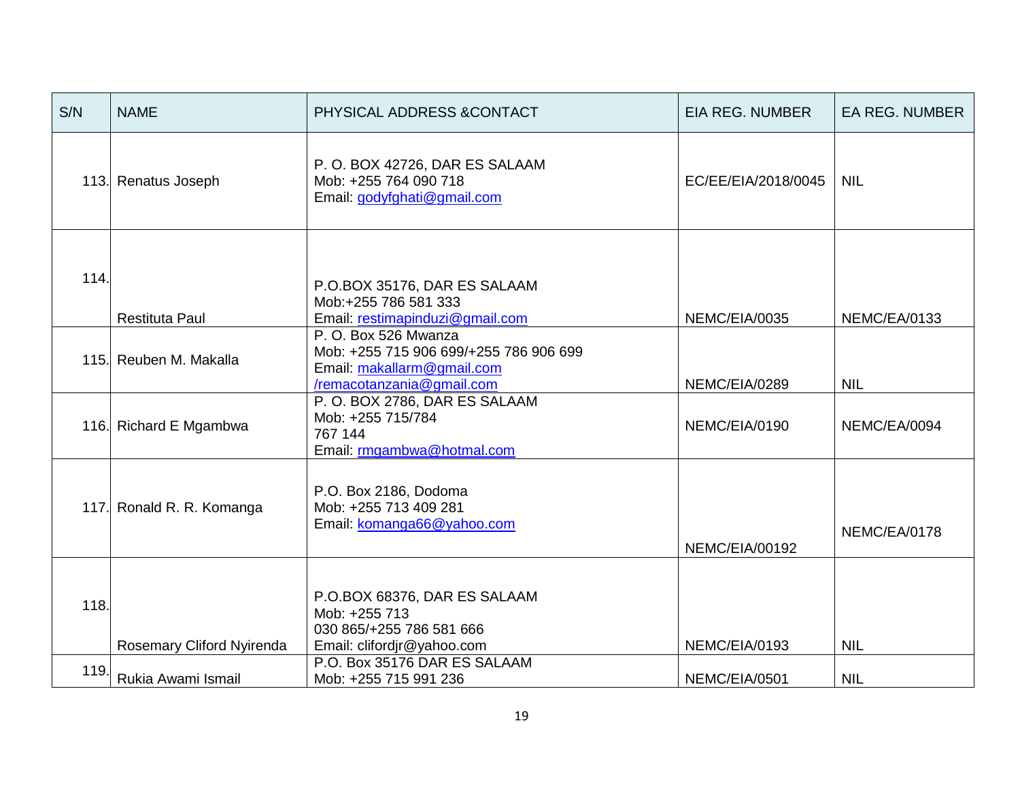| S/N  | <b>NAME</b>               | PHYSICAL ADDRESS & CONTACT                                                                                               | <b>EIA REG. NUMBER</b> | <b>EA REG. NUMBER</b> |
|------|---------------------------|--------------------------------------------------------------------------------------------------------------------------|------------------------|-----------------------|
|      | 113. Renatus Joseph       | P.O. BOX 42726, DAR ES SALAAM<br>Mob: +255 764 090 718<br>Email: godyfghati@gmail.com                                    | EC/EE/EIA/2018/0045    | <b>NIL</b>            |
| 114. | <b>Restituta Paul</b>     | P.O.BOX 35176, DAR ES SALAAM<br>Mob:+255 786 581 333<br>Email: restimapinduzi@gmail.com                                  | NEMC/EIA/0035          | NEMC/EA/0133          |
|      | 115. Reuben M. Makalla    | P.O. Box 526 Mwanza<br>Mob: +255 715 906 699/+255 786 906 699<br>Email: makallarm@gmail.com<br>/remacotanzania@gmail.com | NEMC/EIA/0289          | <b>NIL</b>            |
|      | 116. Richard E Mgambwa    | P.O. BOX 2786, DAR ES SALAAM<br>Mob: +255 715/784<br>767 144<br>Email: rmgambwa@hotmal.com                               | NEMC/EIA/0190          | NEMC/EA/0094          |
|      | 117. Ronald R. R. Komanga | P.O. Box 2186, Dodoma<br>Mob: +255 713 409 281<br>Email: komanga66@yahoo.com                                             | NEMC/EIA/00192         | NEMC/EA/0178          |
| 118. | Rosemary Cliford Nyirenda | P.O.BOX 68376, DAR ES SALAAM<br>Mob: +255 713<br>030 865/+255 786 581 666<br>Email: clifordjr@yahoo.com                  | NEMC/EIA/0193          | <b>NIL</b>            |
| 119. | Rukia Awami Ismail        | P.O. Box 35176 DAR ES SALAAM<br>Mob: +255 715 991 236                                                                    | NEMC/EIA/0501          | <b>NIL</b>            |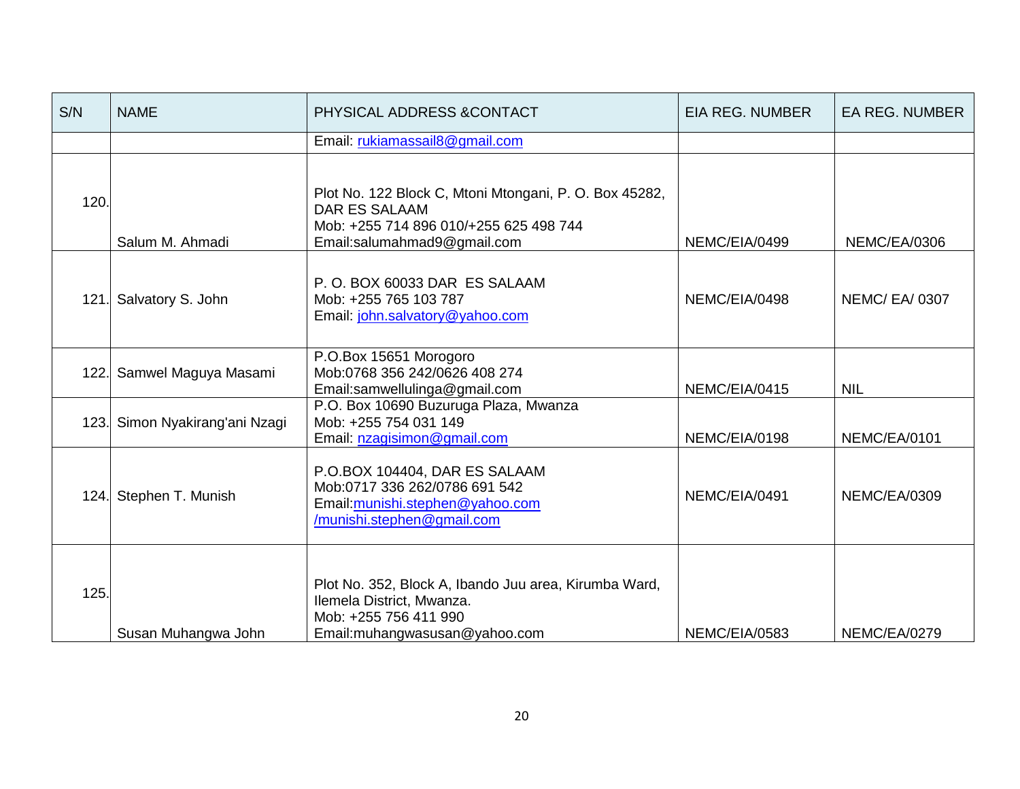| S/N  | <b>NAME</b>                                                                                                                                                                  | PHYSICAL ADDRESS & CONTACT                                                                                | <b>EIA REG. NUMBER</b> | <b>EA REG. NUMBER</b> |
|------|------------------------------------------------------------------------------------------------------------------------------------------------------------------------------|-----------------------------------------------------------------------------------------------------------|------------------------|-----------------------|
|      |                                                                                                                                                                              | Email: rukiamassail8@gmail.com                                                                            |                        |                       |
| 120. | Plot No. 122 Block C, Mtoni Mtongani, P. O. Box 45282,<br><b>DAR ES SALAAM</b><br>Mob: +255 714 896 010/+255 625 498 744<br>Salum M. Ahmadi<br>Email:salumahmad9@gmail.com   |                                                                                                           | NEMC/EIA/0499          | NEMC/EA/0306          |
| 121. | Salvatory S. John                                                                                                                                                            | P.O. BOX 60033 DAR ES SALAAM<br>Mob: +255 765 103 787<br>NEMC/EIA/0498<br>Email: john.salvatory@yahoo.com |                        | <b>NEMC/ EA/ 0307</b> |
| 122. | Samwel Maguya Masami                                                                                                                                                         | P.O.Box 15651 Morogoro<br>Mob:0768 356 242/0626 408 274<br>Email:samwellulinga@gmail.com                  | NEMC/EIA/0415          | <b>NIL</b>            |
| 123. | Simon Nyakirang'ani Nzagi                                                                                                                                                    | P.O. Box 10690 Buzuruga Plaza, Mwanza<br>Mob: +255 754 031 149<br>Email: nzagisimon@gmail.com             | NEMC/EIA/0198          | NEMC/EA/0101          |
| 124. | P.O.BOX 104404, DAR ES SALAAM<br>Mob:0717 336 262/0786 691 542<br>Stephen T. Munish<br>Email: munishi.stephen@yahoo.com<br>/munishi.stephen@gmail.com                        |                                                                                                           | NEMC/EIA/0491          | <b>NEMC/EA/0309</b>   |
|      | Plot No. 352, Block A, Ibando Juu area, Kirumba Ward,<br>125.<br>Ilemela District, Mwanza.<br>Mob: +255 756 411 990<br>Susan Muhangwa John<br>Email: muhangwasusan@yahoo.com |                                                                                                           | NEMC/EIA/0583          | NEMC/EA/0279          |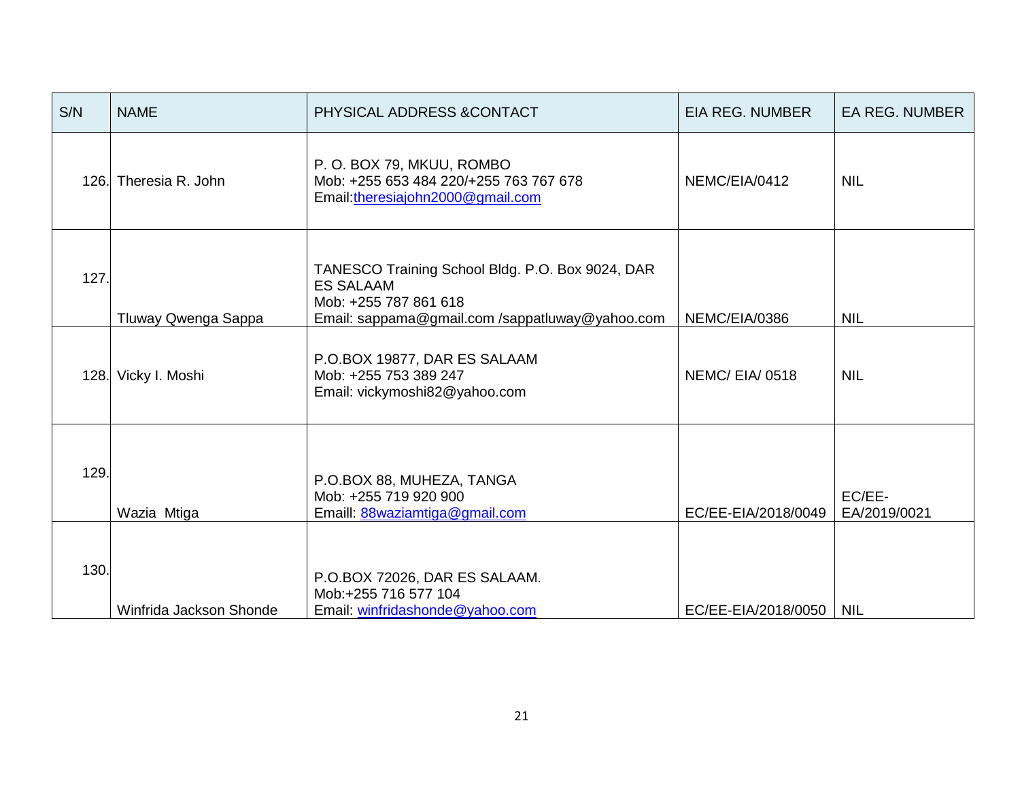| S/N  | <b>NAME</b>                                                                                                                 | PHYSICAL ADDRESS & CONTACT                                                                                                                       | <b>EIA REG. NUMBER</b>    | EA REG. NUMBER         |
|------|-----------------------------------------------------------------------------------------------------------------------------|--------------------------------------------------------------------------------------------------------------------------------------------------|---------------------------|------------------------|
|      | 126. Theresia R. John                                                                                                       | P. O. BOX 79, MKUU, ROMBO<br>Mob: +255 653 484 220/+255 763 767 678<br>Email: theresiajohn2000@gmail.com                                         | NEMC/EIA/0412             | <b>NIL</b>             |
| 127. | Tluway Qwenga Sappa                                                                                                         | TANESCO Training School Bldg. P.O. Box 9024, DAR<br><b>ES SALAAM</b><br>Mob: +255 787 861 618<br>Email: sappama@gmail.com /sappatluway@yahoo.com | NEMC/EIA/0386             | <b>NIL</b>             |
| 128. | Vicky I. Moshi                                                                                                              | P.O.BOX 19877, DAR ES SALAAM<br>Mob: +255 753 389 247<br>Email: vickymoshi82@yahoo.com                                                           | NEMC/EIA/0518             | <b>NIL</b>             |
| 129. | Wazia Mtiga                                                                                                                 | P.O.BOX 88, MUHEZA, TANGA<br>Mob: +255 719 920 900<br>Emaill: 88waziamtiga@gmail.com                                                             | EC/EE-EIA/2018/0049       | EC/EE-<br>EA/2019/0021 |
|      | 130.<br>P.O.BOX 72026, DAR ES SALAAM.<br>Mob:+255 716 577 104<br>Winfrida Jackson Shonde<br>Email: winfridashonde@yahoo.com |                                                                                                                                                  | EC/EE-EIA/2018/0050   NIL |                        |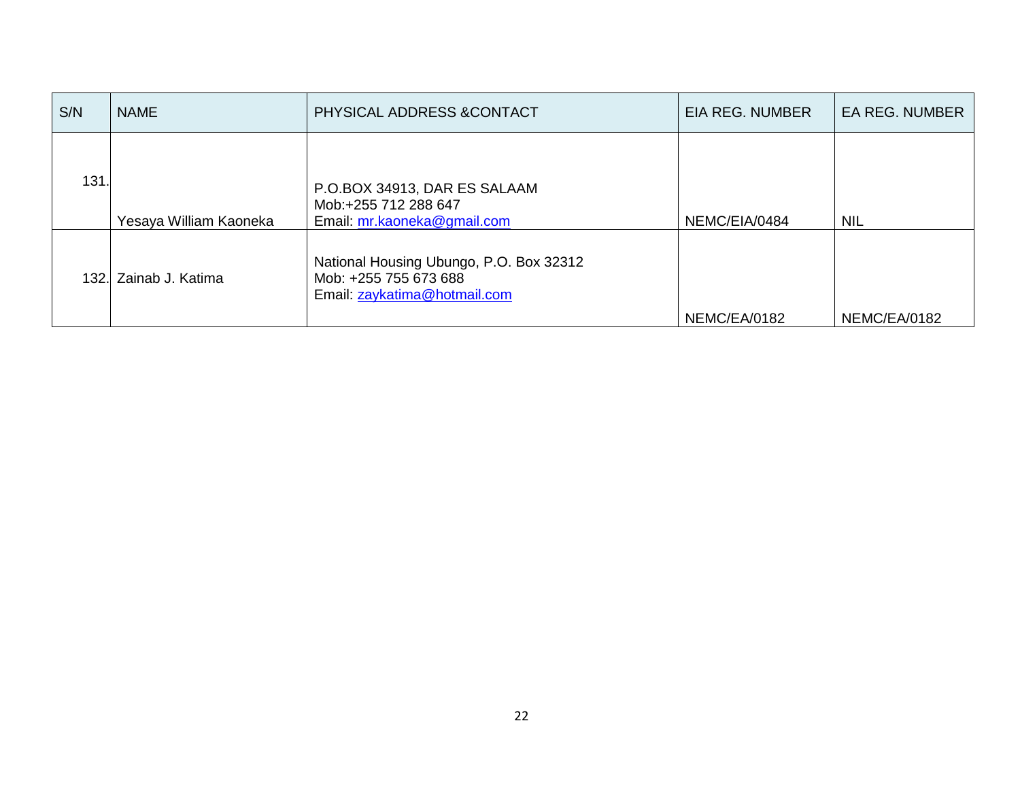| S/N  | <b>NAME</b>            | PHYSICAL ADDRESS & CONTACT                                                                       | <b>EIA REG. NUMBER</b> | <b>EA REG. NUMBER</b> |
|------|------------------------|--------------------------------------------------------------------------------------------------|------------------------|-----------------------|
| 131  | Yesaya William Kaoneka | P.O.BOX 34913, DAR ES SALAAM<br>Mob:+255 712 288 647<br>Email: mr.kaoneka@gmail.com              | NEMC/EIA/0484          | <b>NIL</b>            |
| 132. | Zainab J. Katima       | National Housing Ubungo, P.O. Box 32312<br>Mob: +255 755 673 688<br>Email: zaykatima@hotmail.com | NEMC/EA/0182           | NEMC/EA/0182          |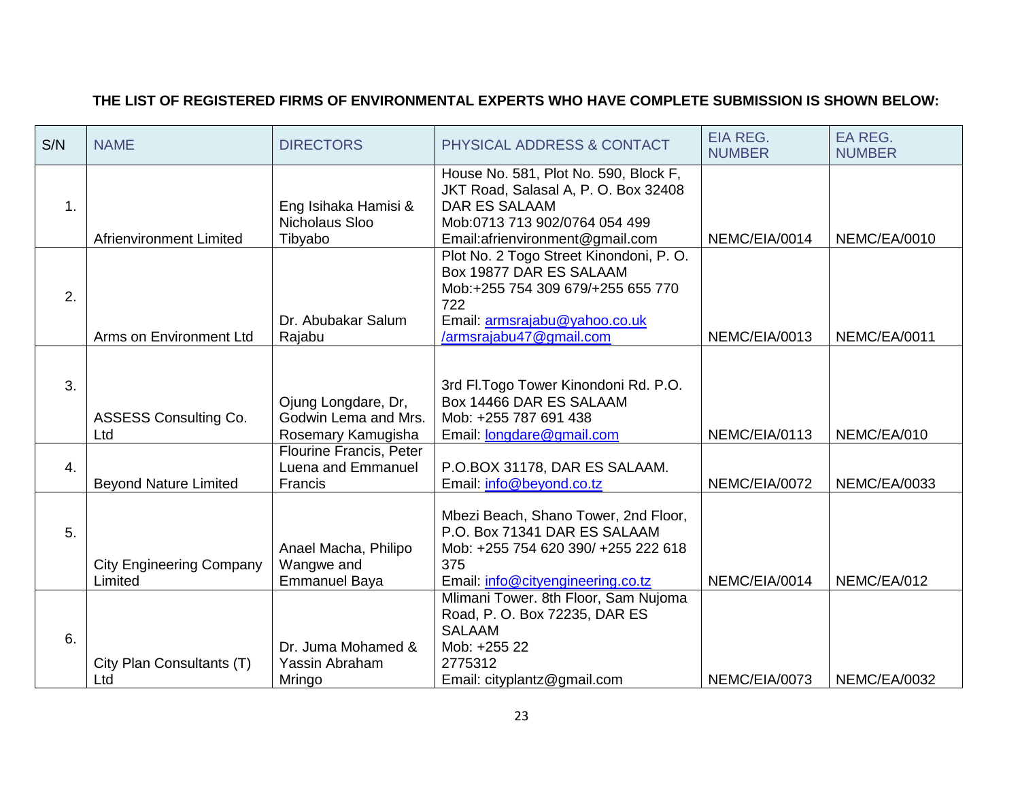## **THE LIST OF REGISTERED FIRMS OF ENVIRONMENTAL EXPERTS WHO HAVE COMPLETE SUBMISSION IS SHOWN BELOW:**

| S/N | <b>NAME</b>                                | <b>DIRECTORS</b>                                                  | PHYSICAL ADDRESS & CONTACT                                                                                                                                                 | <b>EIA REG.</b><br><b>NUMBER</b> | EA REG.<br><b>NUMBER</b> |
|-----|--------------------------------------------|-------------------------------------------------------------------|----------------------------------------------------------------------------------------------------------------------------------------------------------------------------|----------------------------------|--------------------------|
| 1.  | <b>Afrienvironment Limited</b>             | Eng Isihaka Hamisi &<br>Nicholaus Sloo<br>Tibyabo                 | House No. 581, Plot No. 590, Block F,<br>JKT Road, Salasal A, P. O. Box 32408<br><b>DAR ES SALAAM</b><br>Mob:0713 713 902/0764 054 499<br>Email:afrienvironment@gmail.com  | NEMC/EIA/0014                    | NEMC/EA/0010             |
| 2.  | Arms on Environment Ltd                    | Dr. Abubakar Salum<br>Rajabu                                      | Plot No. 2 Togo Street Kinondoni, P. O.<br>Box 19877 DAR ES SALAAM<br>Mob:+255 754 309 679/+255 655 770<br>722<br>Email: armsrajabu@yahoo.co.uk<br>/armsrajabu47@gmail.com | NEMC/EIA/0013                    | NEMC/EA/0011             |
| 3.  | <b>ASSESS Consulting Co.</b><br>Ltd        | Ojung Longdare, Dr,<br>Godwin Lema and Mrs.<br>Rosemary Kamugisha | 3rd Fl. Togo Tower Kinondoni Rd. P.O.<br>Box 14466 DAR ES SALAAM<br>Mob: +255 787 691 438<br>Email: <b>longdare@gmail.com</b>                                              | NEMC/EIA/0113                    | NEMC/EA/010              |
| 4.  | <b>Beyond Nature Limited</b>               | <b>Flourine Francis, Peter</b><br>Luena and Emmanuel<br>Francis   | P.O.BOX 31178, DAR ES SALAAM.<br>Email: info@beyond.co.tz                                                                                                                  | NEMC/EIA/0072                    | NEMC/EA/0033             |
| 5.  | <b>City Engineering Company</b><br>Limited | Anael Macha, Philipo<br>Wangwe and<br><b>Emmanuel Baya</b>        | Mbezi Beach, Shano Tower, 2nd Floor,<br>P.O. Box 71341 DAR ES SALAAM<br>Mob: +255 754 620 390/ +255 222 618<br>375<br>Email: info@cityengineering.co.tz                    | NEMC/EIA/0014                    | NEMC/EA/012              |
| 6.  | City Plan Consultants (T)<br>Ltd           | Dr. Juma Mohamed &<br>Yassin Abraham<br>Mringo                    | Mlimani Tower. 8th Floor, Sam Nujoma<br>Road, P. O. Box 72235, DAR ES<br><b>SALAAM</b><br>Mob: +255 22<br>2775312<br>Email: cityplantz@gmail.com                           | NEMC/EIA/0073                    | NEMC/EA/0032             |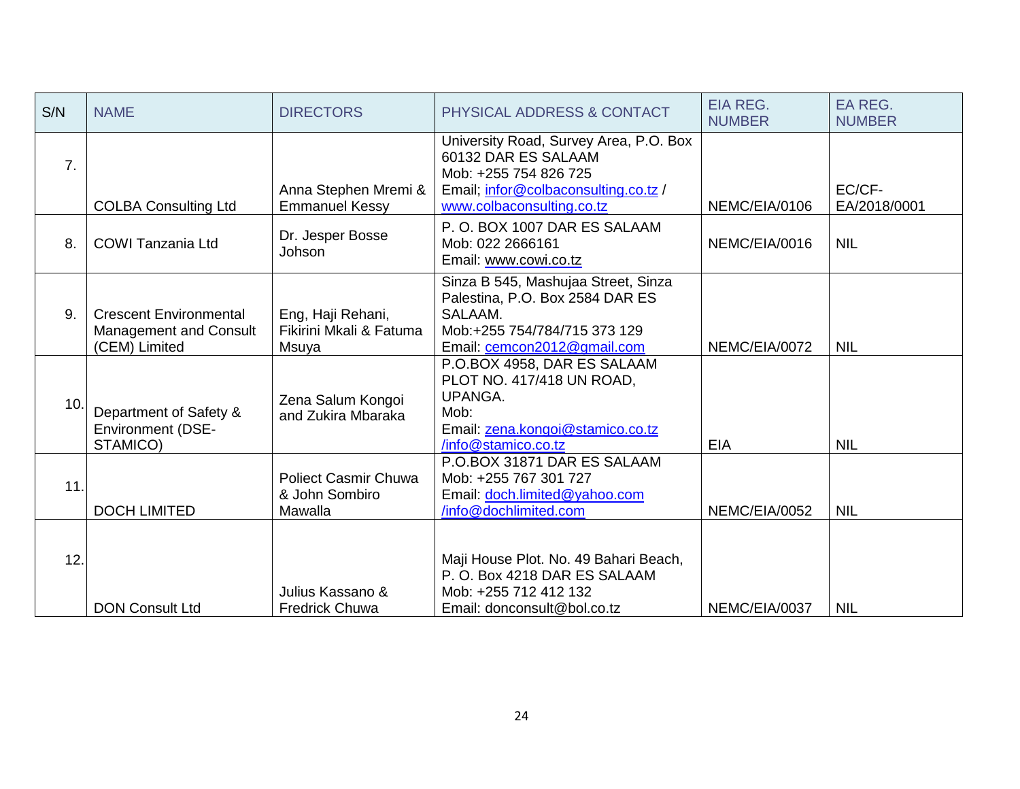| S/N              | <b>NAME</b>                                                              | <b>DIRECTORS</b>                                         | PHYSICAL ADDRESS & CONTACT                                                                                                                                  | <b>EIA REG.</b><br><b>NUMBER</b> | EA REG.<br><b>NUMBER</b> |
|------------------|--------------------------------------------------------------------------|----------------------------------------------------------|-------------------------------------------------------------------------------------------------------------------------------------------------------------|----------------------------------|--------------------------|
| $\overline{7}$ . | <b>COLBA Consulting Ltd</b>                                              | Anna Stephen Mremi &<br><b>Emmanuel Kessy</b>            | University Road, Survey Area, P.O. Box<br>60132 DAR ES SALAAM<br>Mob: +255 754 826 725<br>Email; infor@colbaconsulting.co.tz /<br>www.colbaconsulting.co.tz | NEMC/EIA/0106                    | EC/CF-<br>EA/2018/0001   |
| 8.               | COWI Tanzania Ltd                                                        | Dr. Jesper Bosse<br>Johson                               | P.O. BOX 1007 DAR ES SALAAM<br>Mob: 022 2666161<br>Email: www.cowi.co.tz                                                                                    | NEMC/EIA/0016                    | <b>NIL</b>               |
| 9.               | <b>Crescent Environmental</b><br>Management and Consult<br>(CEM) Limited | Eng, Haji Rehani,<br>Fikirini Mkali & Fatuma<br>Msuya    | Sinza B 545, Mashujaa Street, Sinza<br>Palestina, P.O. Box 2584 DAR ES<br>SALAAM.<br>Mob:+255 754/784/715 373 129<br>Email: cemcon2012@gmail.com            | NEMC/EIA/0072                    | <b>NIL</b>               |
| 10.              | Department of Safety &<br><b>Environment (DSE-</b><br>STAMICO)           | Zena Salum Kongoi<br>and Zukira Mbaraka                  | P.O.BOX 4958, DAR ES SALAAM<br>PLOT NO. 417/418 UN ROAD,<br>UPANGA.<br>Mob:<br>Email: zena.kongoi@stamico.co.tz<br>/info@stamico.co.tz                      | EIA                              | <b>NIL</b>               |
| 11               | <b>DOCH LIMITED</b>                                                      | <b>Poliect Casmir Chuwa</b><br>& John Sombiro<br>Mawalla | P.O.BOX 31871 DAR ES SALAAM<br>Mob: +255 767 301 727<br>Email: doch.limited@yahoo.com<br>/info@dochlimited.com                                              | NEMC/EIA/0052                    | <b>NIL</b>               |
| 12.              | <b>DON Consult Ltd</b>                                                   | Julius Kassano &<br><b>Fredrick Chuwa</b>                | Maji House Plot. No. 49 Bahari Beach,<br>P.O. Box 4218 DAR ES SALAAM<br>Mob: +255 712 412 132<br>Email: donconsult@bol.co.tz                                | NEMC/EIA/0037                    | <b>NIL</b>               |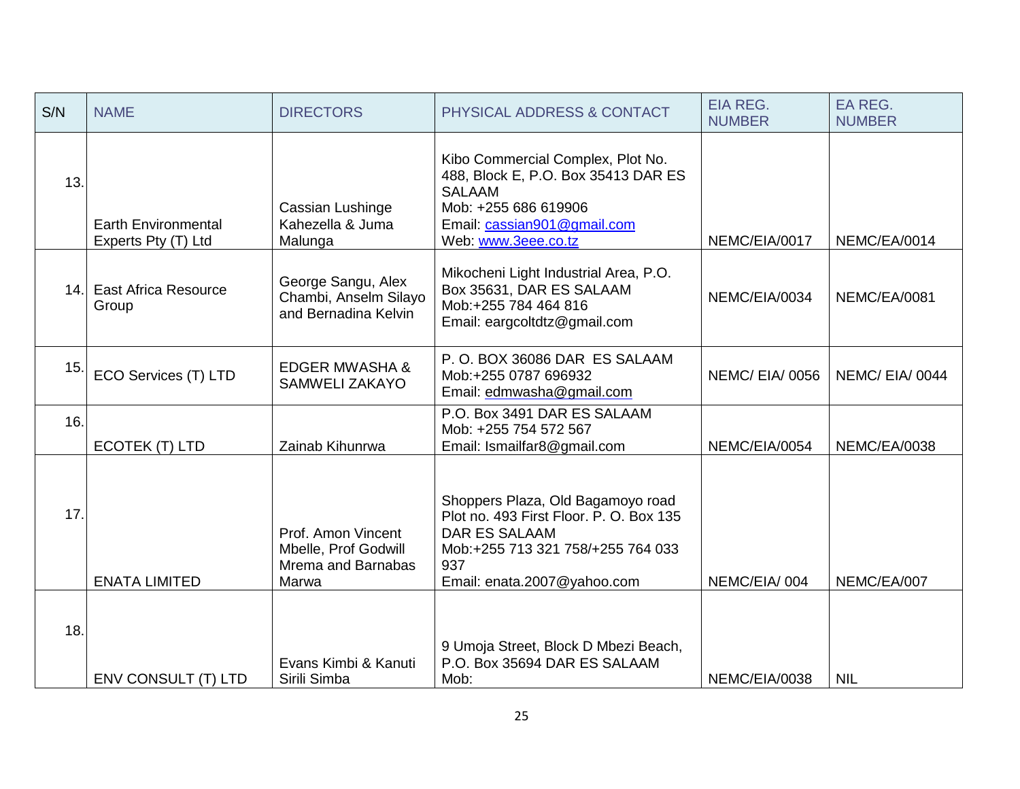| S/N | <b>NAME</b>                                       | <b>DIRECTORS</b>                                                          | PHYSICAL ADDRESS & CONTACT                                                                                                                                                      | <b>EIA REG.</b><br><b>NUMBER</b> | EA REG.<br><b>NUMBER</b> |
|-----|---------------------------------------------------|---------------------------------------------------------------------------|---------------------------------------------------------------------------------------------------------------------------------------------------------------------------------|----------------------------------|--------------------------|
| 13. | <b>Earth Environmental</b><br>Experts Pty (T) Ltd | Cassian Lushinge<br>Kahezella & Juma<br>Malunga                           | Kibo Commercial Complex, Plot No.<br>488, Block E, P.O. Box 35413 DAR ES<br><b>SALAAM</b><br>Mob: +255 686 619906<br>Email: cassian901@gmail.com<br>Web: www.3eee.co.tz         | NEMC/EIA/0017                    | NEMC/EA/0014             |
|     | 14. East Africa Resource<br>Group                 | George Sangu, Alex<br>Chambi, Anselm Silayo<br>and Bernadina Kelvin       | Mikocheni Light Industrial Area, P.O.<br>Box 35631, DAR ES SALAAM<br>Mob:+255 784 464 816<br>Email: eargcoltdtz@gmail.com                                                       | NEMC/EIA/0034                    | <b>NEMC/EA/0081</b>      |
| 15. | ECO Services (T) LTD                              | <b>EDGER MWASHA &amp;</b><br><b>SAMWELI ZAKAYO</b>                        | P.O. BOX 36086 DAR ES SALAAM<br>Mob:+255 0787 696932<br>Email: edmwasha@gmail.com                                                                                               | <b>NEMC/EIA/0056</b>             | NEMC/EIA/0044            |
| 16. | ECOTEK (T) LTD                                    | Zainab Kihunrwa                                                           | P.O. Box 3491 DAR ES SALAAM<br>Mob: +255 754 572 567<br>Email: Ismailfar8@gmail.com                                                                                             | NEMC/EIA/0054                    | NEMC/EA/0038             |
| 17. | <b>ENATA LIMITED</b>                              | Prof. Amon Vincent<br>Mbelle, Prof Godwill<br>Mrema and Barnabas<br>Marwa | Shoppers Plaza, Old Bagamoyo road<br>Plot no. 493 First Floor. P. O. Box 135<br><b>DAR ES SALAAM</b><br>Mob:+255 713 321 758/+255 764 033<br>937<br>Email: enata.2007@yahoo.com | NEMC/EIA/004                     | NEMC/EA/007              |
| 18. | ENV CONSULT (T) LTD                               | Evans Kimbi & Kanuti<br>Sirili Simba                                      | 9 Umoja Street, Block D Mbezi Beach,<br>P.O. Box 35694 DAR ES SALAAM<br>Mob:                                                                                                    | NEMC/EIA/0038                    | <b>NIL</b>               |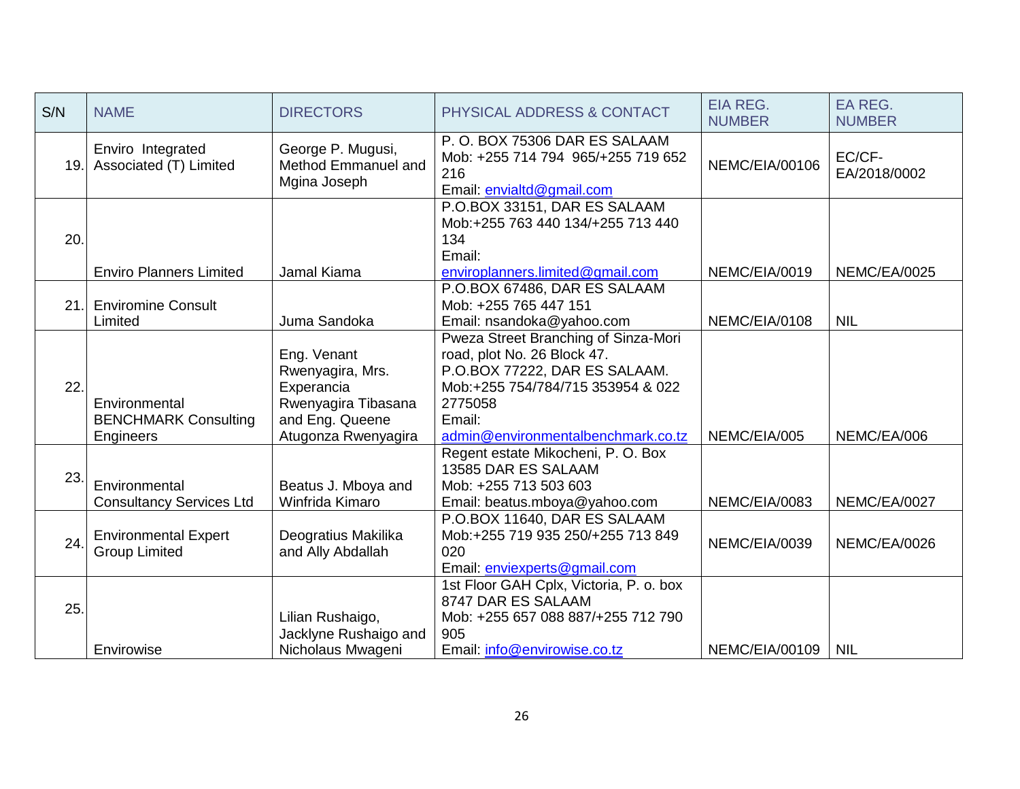| S/N | <b>NAME</b>                                               | <b>DIRECTORS</b>                                                                                               | <b>PHYSICAL ADDRESS &amp; CONTACT</b>                                                                                                                                                                | <b>EIA REG.</b><br><b>NUMBER</b> | EA REG.<br><b>NUMBER</b> |
|-----|-----------------------------------------------------------|----------------------------------------------------------------------------------------------------------------|------------------------------------------------------------------------------------------------------------------------------------------------------------------------------------------------------|----------------------------------|--------------------------|
| 19. | Enviro Integrated<br>Associated (T) Limited               | George P. Mugusi,<br>Method Emmanuel and<br>Mgina Joseph                                                       | P.O. BOX 75306 DAR ES SALAAM<br>Mob: +255 714 794 965/+255 719 652<br>216<br>Email: envialtd@gmail.com                                                                                               | NEMC/EIA/00106                   | EC/CF-<br>EA/2018/0002   |
| 20. | <b>Enviro Planners Limited</b>                            | Jamal Kiama                                                                                                    | P.O.BOX 33151, DAR ES SALAAM<br>Mob:+255 763 440 134/+255 713 440<br>134<br>Email:<br>enviroplanners.limited@gmail.com                                                                               | NEMC/EIA/0019                    | NEMC/EA/0025             |
| 21. | <b>Enviromine Consult</b><br>Limited                      | Juma Sandoka                                                                                                   | P.O.BOX 67486, DAR ES SALAAM<br>Mob: +255 765 447 151<br>Email: nsandoka@yahoo.com                                                                                                                   | NEMC/EIA/0108                    | <b>NIL</b>               |
| 22. | Environmental<br><b>BENCHMARK Consulting</b><br>Engineers | Eng. Venant<br>Rwenyagira, Mrs.<br>Experancia<br>Rwenyagira Tibasana<br>and Eng. Queene<br>Atugonza Rwenyagira | Pweza Street Branching of Sinza-Mori<br>road, plot No. 26 Block 47.<br>P.O.BOX 77222, DAR ES SALAAM.<br>Mob:+255 754/784/715 353954 & 022<br>2775058<br>Email:<br>admin@environmentalbenchmark.co.tz | NEMC/EIA/005                     | NEMC/EA/006              |
| 23. | Environmental<br><b>Consultancy Services Ltd</b>          | Beatus J. Mboya and<br>Winfrida Kimaro                                                                         | Regent estate Mikocheni, P. O. Box<br>13585 DAR ES SALAAM<br>Mob: +255 713 503 603<br>Email: beatus.mboya@yahoo.com                                                                                  | NEMC/EIA/0083                    | NEMC/EA/0027             |
| 24. | <b>Environmental Expert</b><br><b>Group Limited</b>       | Deogratius Makilika<br>and Ally Abdallah                                                                       | P.O.BOX 11640, DAR ES SALAAM<br>Mob:+255 719 935 250/+255 713 849<br>020<br>Email: enviexperts@gmail.com                                                                                             | NEMC/EIA/0039                    | NEMC/EA/0026             |
| 25. | Envirowise                                                | Lilian Rushaigo,<br>Jacklyne Rushaigo and<br>Nicholaus Mwageni                                                 | 1st Floor GAH Cplx, Victoria, P. o. box<br>8747 DAR ES SALAAM<br>Mob: +255 657 088 887/+255 712 790<br>905<br>Email: info@envirowise.co.tz                                                           | NEMC/EIA/00109                   | <b>NIL</b>               |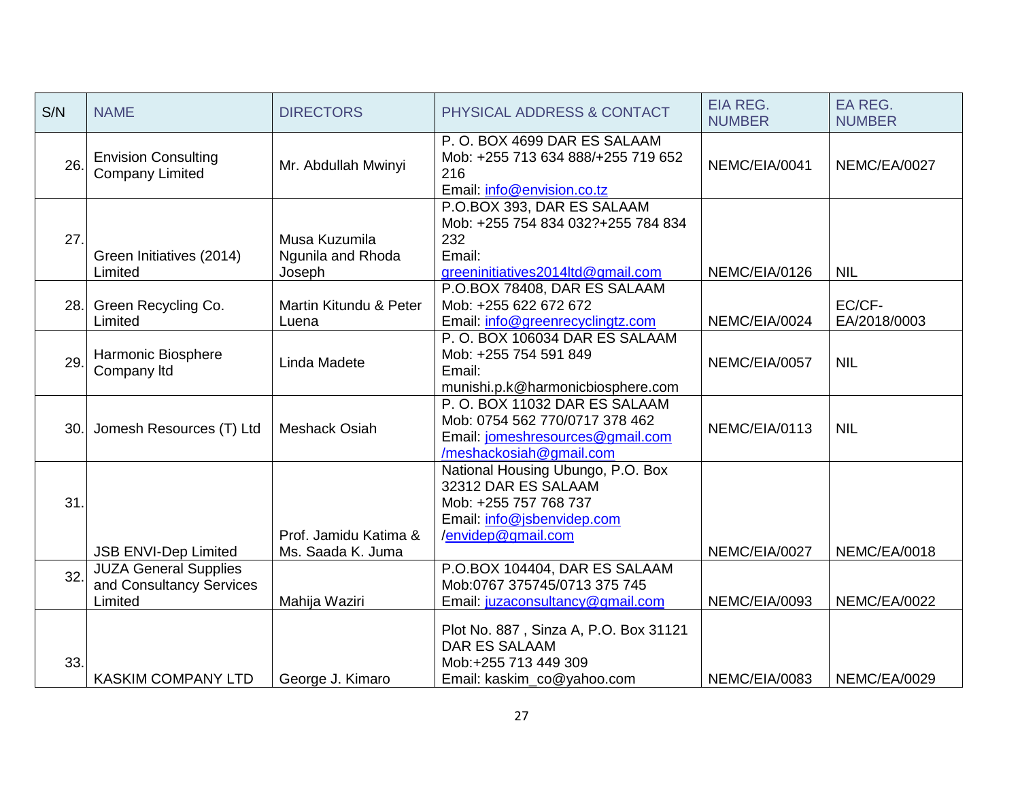| S/N | <b>NAME</b>                                                         | <b>DIRECTORS</b>                             | PHYSICAL ADDRESS & CONTACT                                                                                                            | <b>EIA REG.</b><br><b>NUMBER</b> | EA REG.<br><b>NUMBER</b> |
|-----|---------------------------------------------------------------------|----------------------------------------------|---------------------------------------------------------------------------------------------------------------------------------------|----------------------------------|--------------------------|
| 26. | <b>Envision Consulting</b><br><b>Company Limited</b>                | Mr. Abdullah Mwinyi                          | P.O. BOX 4699 DAR ES SALAAM<br>Mob: +255 713 634 888/+255 719 652<br>216<br>Email: info@envision.co.tz                                | NEMC/EIA/0041                    | NEMC/EA/0027             |
| 27. | Green Initiatives (2014)<br>Limited                                 | Musa Kuzumila<br>Ngunila and Rhoda<br>Joseph | P.O.BOX 393, DAR ES SALAAM<br>Mob: +255 754 834 032?+255 784 834<br>232<br>Email:<br>greeninitiatives2014ltd@gmail.com                | NEMC/EIA/0126                    | <b>NIL</b>               |
| 28. | Green Recycling Co.<br>Limited                                      | Martin Kitundu & Peter<br>Luena              | P.O.BOX 78408, DAR ES SALAAM<br>Mob: +255 622 672 672<br>Email: info@greenrecyclingtz.com                                             | NEMC/EIA/0024                    | EC/CF-<br>EA/2018/0003   |
| 29. | Harmonic Biosphere<br>Company Itd                                   | Linda Madete                                 | P.O. BOX 106034 DAR ES SALAAM<br>Mob: +255 754 591 849<br>Email:<br>munishi.p.k@harmonicbiosphere.com                                 | NEMC/EIA/0057                    | <b>NIL</b>               |
| 30. | Jomesh Resources (T) Ltd                                            | <b>Meshack Osiah</b>                         | P.O. BOX 11032 DAR ES SALAAM<br>Mob: 0754 562 770/0717 378 462<br>Email: jomeshresources@gmail.com<br>/meshackosiah@gmail.com         | NEMC/EIA/0113                    | <b>NIL</b>               |
| 31. | <b>JSB ENVI-Dep Limited</b>                                         | Prof. Jamidu Katima &<br>Ms. Saada K. Juma   | National Housing Ubungo, P.O. Box<br>32312 DAR ES SALAAM<br>Mob: +255 757 768 737<br>Email: info@jsbenvidep.com<br>/envidep@gmail.com | NEMC/EIA/0027                    | NEMC/EA/0018             |
| 32. | <b>JUZA General Supplies</b><br>and Consultancy Services<br>Limited | Mahija Waziri                                | P.O.BOX 104404, DAR ES SALAAM<br>Mob:0767 375745/0713 375 745<br>Email: juzaconsultancy@gmail.com                                     | NEMC/EIA/0093                    | NEMC/EA/0022             |
| 33. | <b>KASKIM COMPANY LTD</b>                                           | George J. Kimaro                             | Plot No. 887, Sinza A, P.O. Box 31121<br><b>DAR ES SALAAM</b><br>Mob:+255 713 449 309<br>Email: kaskim_co@yahoo.com                   | NEMC/EIA/0083                    | <b>NEMC/EA/0029</b>      |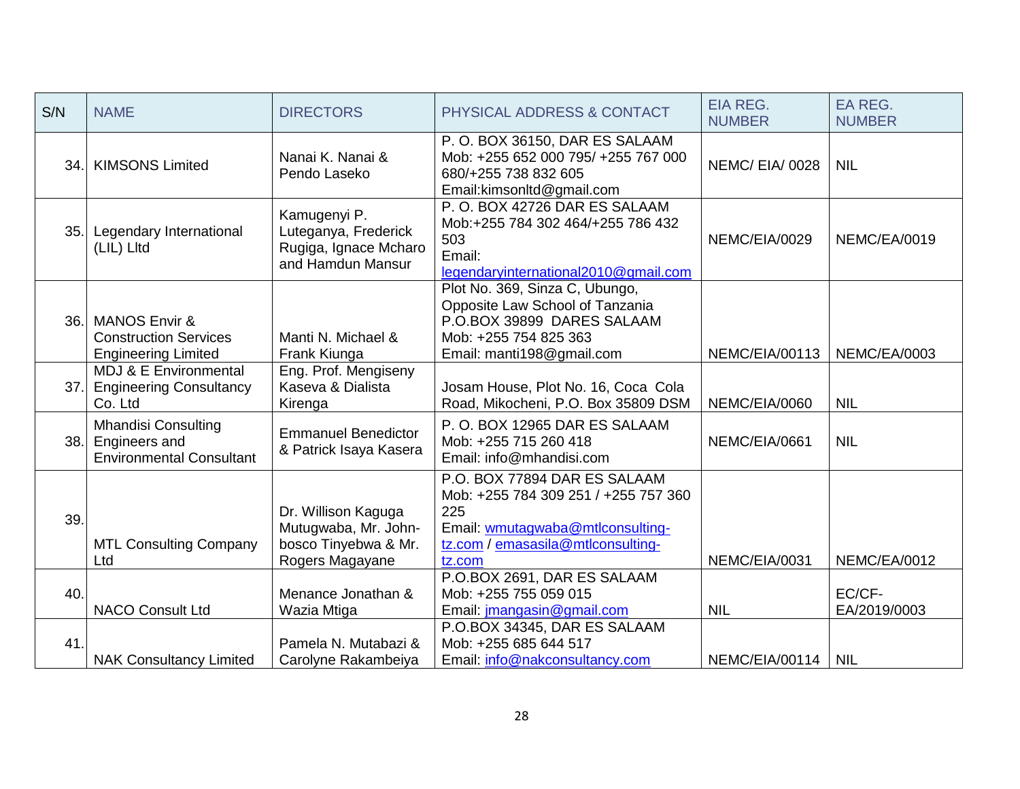| S/N | <b>NAME</b>                                                                            | <b>DIRECTORS</b>                                                                       | PHYSICAL ADDRESS & CONTACT                                                                                                                                     | <b>EIA REG.</b><br><b>NUMBER</b> | EA REG.<br><b>NUMBER</b> |
|-----|----------------------------------------------------------------------------------------|----------------------------------------------------------------------------------------|----------------------------------------------------------------------------------------------------------------------------------------------------------------|----------------------------------|--------------------------|
| 34. | <b>KIMSONS Limited</b>                                                                 | Nanai K. Nanai &<br>Pendo Laseko                                                       | P.O. BOX 36150, DAR ES SALAAM<br>Mob: +255 652 000 795/ +255 767 000<br>680/+255 738 832 605<br>Email:kimsonltd@gmail.com                                      | <b>NEMC/EIA/0028</b>             | <b>NIL</b>               |
| 35. | Legendary International<br>(LIL) Litd                                                  | Kamugenyi P.<br>Luteganya, Frederick<br>Rugiga, Ignace Mcharo<br>and Hamdun Mansur     | P.O. BOX 42726 DAR ES SALAAM<br>Mob:+255 784 302 464/+255 786 432<br>503<br>Email:<br>legendaryinternational2010@gmail.com                                     | NEMC/EIA/0029                    | NEMC/EA/0019             |
| 36. | <b>MANOS Envir &amp;</b><br><b>Construction Services</b><br><b>Engineering Limited</b> | Manti N. Michael &<br>Frank Kiunga                                                     | Plot No. 369, Sinza C, Ubungo,<br>Opposite Law School of Tanzania<br>P.O.BOX 39899 DARES SALAAM<br>Mob: +255 754 825 363<br>Email: manti198@gmail.com          | NEMC/EIA/00113                   | NEMC/EA/0003             |
| 37. | MDJ & E Environmental<br><b>Engineering Consultancy</b><br>Co. Ltd                     | Eng. Prof. Mengiseny<br>Kaseva & Dialista<br>Kirenga                                   | Josam House, Plot No. 16, Coca Cola<br>Road, Mikocheni, P.O. Box 35809 DSM                                                                                     | NEMC/EIA/0060                    | <b>NIL</b>               |
| 38. | <b>Mhandisi Consulting</b><br>Engineers and<br><b>Environmental Consultant</b>         | <b>Emmanuel Benedictor</b><br>& Patrick Isaya Kasera                                   | P.O. BOX 12965 DAR ES SALAAM<br>Mob: +255 715 260 418<br>Email: info@mhandisi.com                                                                              | NEMC/EIA/0661                    | <b>NIL</b>               |
| 39. | <b>MTL Consulting Company</b><br>Ltd                                                   | Dr. Willison Kaguga<br>Mutugwaba, Mr. John-<br>bosco Tinyebwa & Mr.<br>Rogers Magayane | P.O. BOX 77894 DAR ES SALAAM<br>Mob: +255 784 309 251 / +255 757 360<br>225<br>Email: wmutagwaba@mtlconsulting-<br>tz.com / emasasila@mtlconsulting-<br>tz.com | NEMC/EIA/0031                    | NEMC/EA/0012             |
| 40. | <b>NACO Consult Ltd</b>                                                                | Menance Jonathan &<br>Wazia Mtiga                                                      | P.O.BOX 2691, DAR ES SALAAM<br>Mob: +255 755 059 015<br>Email: jmangasin@gmail.com                                                                             | <b>NIL</b>                       | EC/CF-<br>EA/2019/0003   |
| 41  | <b>NAK Consultancy Limited</b>                                                         | Pamela N. Mutabazi &<br>Carolyne Rakambeiya                                            | P.O.BOX 34345, DAR ES SALAAM<br>Mob: +255 685 644 517<br>Email: info@nakconsultancy.com                                                                        | NEMC/EIA/00114                   | <b>NIL</b>               |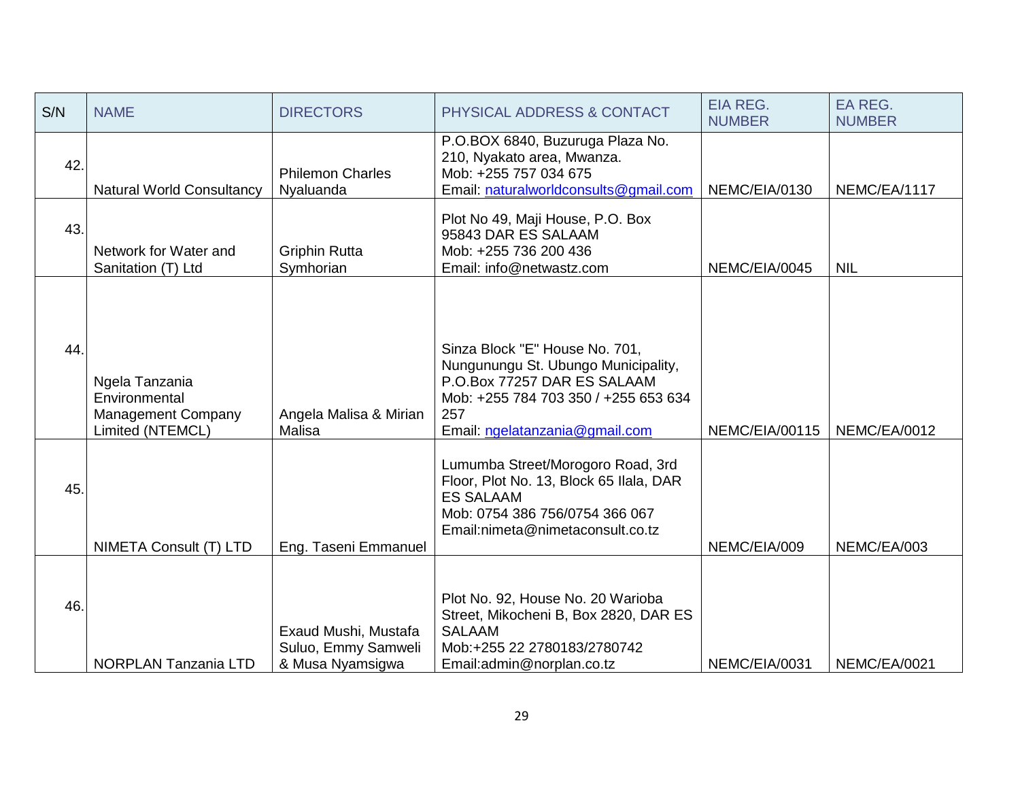| S/N | <b>NAME</b>                                                                      | <b>DIRECTORS</b>                                                | PHYSICAL ADDRESS & CONTACT                                                                                                                                                            | <b>EIA REG.</b><br><b>NUMBER</b> | <b>EA REG.</b><br><b>NUMBER</b> |
|-----|----------------------------------------------------------------------------------|-----------------------------------------------------------------|---------------------------------------------------------------------------------------------------------------------------------------------------------------------------------------|----------------------------------|---------------------------------|
| 42. | <b>Natural World Consultancy</b>                                                 | <b>Philemon Charles</b><br>Nyaluanda                            | P.O.BOX 6840, Buzuruga Plaza No.<br>210, Nyakato area, Mwanza.<br>Mob: +255 757 034 675<br>Email: naturalworldconsults@gmail.com                                                      | NEMC/EIA/0130                    | NEMC/EA/1117                    |
| 43. | Network for Water and<br>Sanitation (T) Ltd                                      | <b>Griphin Rutta</b><br>Symhorian                               | Plot No 49, Maji House, P.O. Box<br>95843 DAR ES SALAAM<br>Mob: +255 736 200 436<br>Email: info@netwastz.com                                                                          | NEMC/EIA/0045                    | <b>NIL</b>                      |
| 44. | Ngela Tanzania<br>Environmental<br><b>Management Company</b><br>Limited (NTEMCL) | Angela Malisa & Mirian<br>Malisa                                | Sinza Block "E" House No. 701,<br>Nungunungu St. Ubungo Municipality,<br>P.O.Box 77257 DAR ES SALAAM<br>Mob: +255 784 703 350 / +255 653 634<br>257<br>Email: ngelatanzania@gmail.com | NEMC/EIA/00115                   | NEMC/EA/0012                    |
| 45. | NIMETA Consult (T) LTD                                                           | Eng. Taseni Emmanuel                                            | Lumumba Street/Morogoro Road, 3rd<br>Floor, Plot No. 13, Block 65 Ilala, DAR<br><b>ES SALAAM</b><br>Mob: 0754 386 756/0754 366 067<br>Email:nimeta@nimetaconsult.co.tz                | NEMC/EIA/009                     | NEMC/EA/003                     |
| 46. | NORPLAN Tanzania LTD                                                             | Exaud Mushi, Mustafa<br>Suluo, Emmy Samweli<br>& Musa Nyamsigwa | Plot No. 92, House No. 20 Warioba<br>Street, Mikocheni B, Box 2820, DAR ES<br><b>SALAAM</b><br>Mob:+255 22 2780183/2780742<br>Email:admin@norplan.co.tz                               | NEMC/EIA/0031                    | NEMC/EA/0021                    |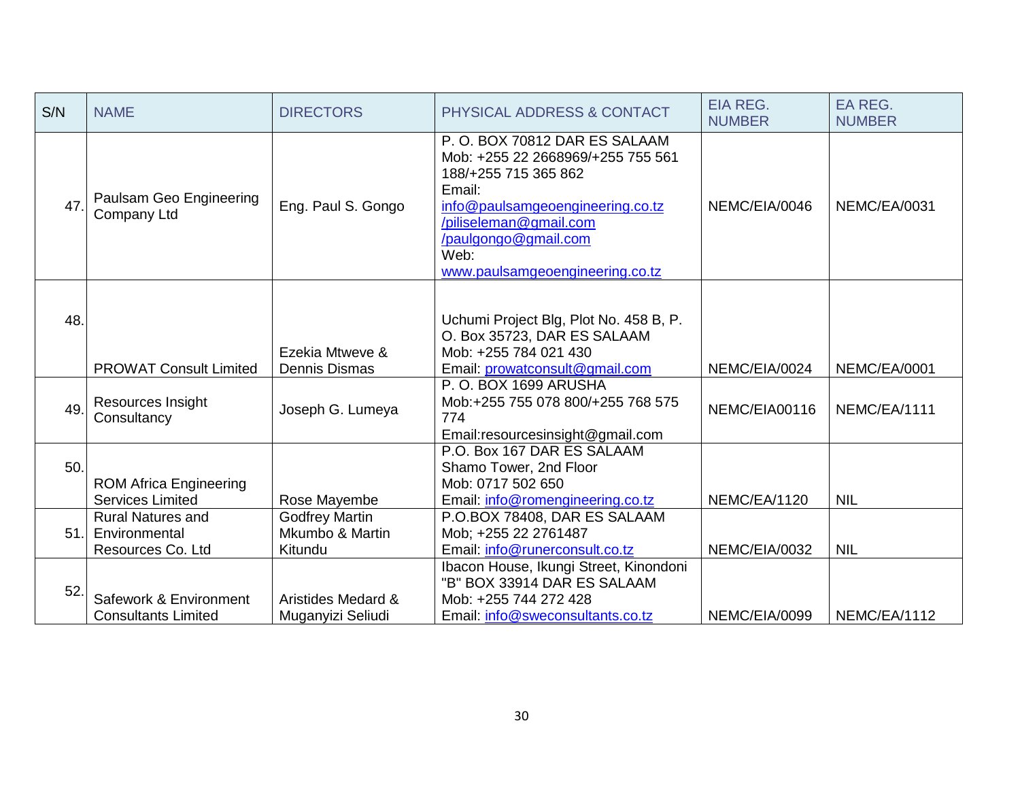| S/N | <b>NAME</b>                                                    | <b>DIRECTORS</b>                                    | PHYSICAL ADDRESS & CONTACT                                                                                                                                                                                                           | <b>EIA REG.</b><br><b>NUMBER</b> | EA REG.<br><b>NUMBER</b> |
|-----|----------------------------------------------------------------|-----------------------------------------------------|--------------------------------------------------------------------------------------------------------------------------------------------------------------------------------------------------------------------------------------|----------------------------------|--------------------------|
| 47. | Paulsam Geo Engineering<br>Company Ltd                         | Eng. Paul S. Gongo                                  | P.O. BOX 70812 DAR ES SALAAM<br>Mob: +255 22 2668969/+255 755 561<br>188/+255 715 365 862<br>Email:<br>info@paulsamgeoengineering.co.tz<br>/piliseleman@gmail.com<br>/paulgongo@gmail.com<br>Web:<br>www.paulsamgeoengineering.co.tz | NEMC/EIA/0046                    | NEMC/EA/0031             |
| 48. | <b>PROWAT Consult Limited</b>                                  | Ezekia Mtweve &<br><b>Dennis Dismas</b>             | Uchumi Project Blg, Plot No. 458 B, P.<br>O. Box 35723, DAR ES SALAAM<br>Mob: +255 784 021 430<br>Email: prowatconsult@gmail.com                                                                                                     | NEMC/EIA/0024                    | <b>NEMC/EA/0001</b>      |
| 49. | Resources Insight<br>Consultancy                               | Joseph G. Lumeya                                    | P.O. BOX 1699 ARUSHA<br>Mob:+255 755 078 800/+255 768 575<br>774<br>Email:resourcesinsight@gmail.com                                                                                                                                 | NEMC/EIA00116                    | NEMC/EA/1111             |
| 50. | <b>ROM Africa Engineering</b><br><b>Services Limited</b>       | Rose Mayembe                                        | P.O. Box 167 DAR ES SALAAM<br>Shamo Tower, 2nd Floor<br>Mob: 0717 502 650<br>Email: info@romengineering.co.tz                                                                                                                        | NEMC/EA/1120                     | <b>NIL</b>               |
| 51. | <b>Rural Natures and</b><br>Environmental<br>Resources Co. Ltd | <b>Godfrey Martin</b><br>Mkumbo & Martin<br>Kitundu | P.O.BOX 78408, DAR ES SALAAM<br>Mob; +255 22 2761487<br>Email: info@runerconsult.co.tz                                                                                                                                               | NEMC/EIA/0032                    | <b>NIL</b>               |
| 52. | Safework & Environment<br><b>Consultants Limited</b>           | Aristides Medard &<br>Muganyizi Seliudi             | Ibacon House, Ikungi Street, Kinondoni<br>"B" BOX 33914 DAR ES SALAAM<br>Mob: +255 744 272 428<br>Email: info@sweconsultants.co.tz                                                                                                   | NEMC/EIA/0099                    | NEMC/EA/1112             |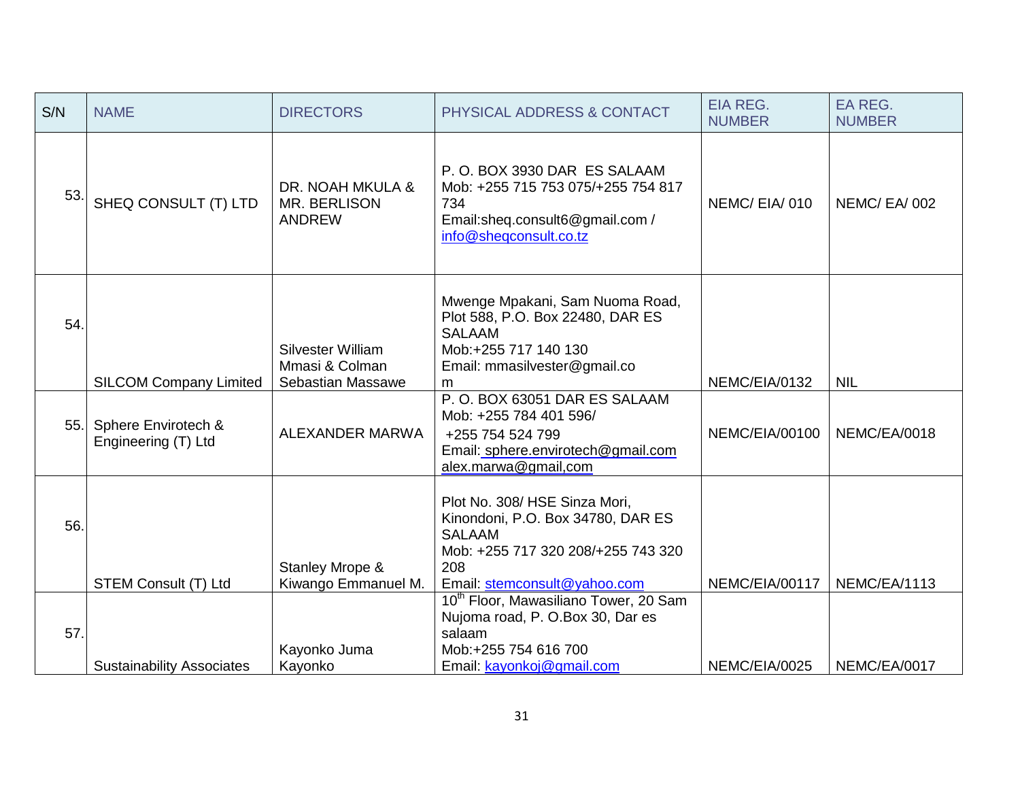| S/N | <b>NAME</b>                                | <b>DIRECTORS</b>                                         | PHYSICAL ADDRESS & CONTACT                                                                                                                                       | <b>EIA REG.</b><br><b>NUMBER</b> | EA REG.<br><b>NUMBER</b> |
|-----|--------------------------------------------|----------------------------------------------------------|------------------------------------------------------------------------------------------------------------------------------------------------------------------|----------------------------------|--------------------------|
| 53. | SHEQ CONSULT (T) LTD                       | DR. NOAH MKULA &<br>MR. BERLISON<br><b>ANDREW</b>        | P.O. BOX 3930 DAR ES SALAAM<br>Mob: +255 715 753 075/+255 754 817<br>734<br>Email:sheq.consult6@gmail.com /<br>info@sheqconsult.co.tz                            | NEMC/EIA/010                     | NEMC/EA/002              |
| 54. | <b>SILCOM Company Limited</b>              | Silvester William<br>Mmasi & Colman<br>Sebastian Massawe | Mwenge Mpakani, Sam Nuoma Road,<br>Plot 588, P.O. Box 22480, DAR ES<br><b>SALAAM</b><br>Mob:+255 717 140 130<br>Email: mmasilvester@gmail.co<br>m                | NEMC/EIA/0132                    | <b>NIL</b>               |
| 55. | Sphere Envirotech &<br>Engineering (T) Ltd | ALEXANDER MARWA                                          | P.O. BOX 63051 DAR ES SALAAM<br>Mob: +255 784 401 596/<br>+255 754 524 799<br>Email: sphere.envirotech@gmail.com<br>alex.marwa@gmail.com                         | NEMC/EIA/00100                   | NEMC/EA/0018             |
| 56. | <b>STEM Consult (T) Ltd</b>                | Stanley Mrope &<br>Kiwango Emmanuel M.                   | Plot No. 308/ HSE Sinza Mori,<br>Kinondoni, P.O. Box 34780, DAR ES<br><b>SALAAM</b><br>Mob: +255 717 320 208/+255 743 320<br>208<br>Email: stemconsult@yahoo.com | NEMC/EIA/00117                   | NEMC/EA/1113             |
| 57. | <b>Sustainability Associates</b>           | Kayonko Juma<br>Kayonko                                  | 10 <sup>th</sup> Floor, Mawasiliano Tower, 20 Sam<br>Nujoma road, P. O.Box 30, Dar es<br>salaam<br>Mob:+255 754 616 700<br>Email: kayonkoj@gmail.com             | NEMC/EIA/0025                    | NEMC/EA/0017             |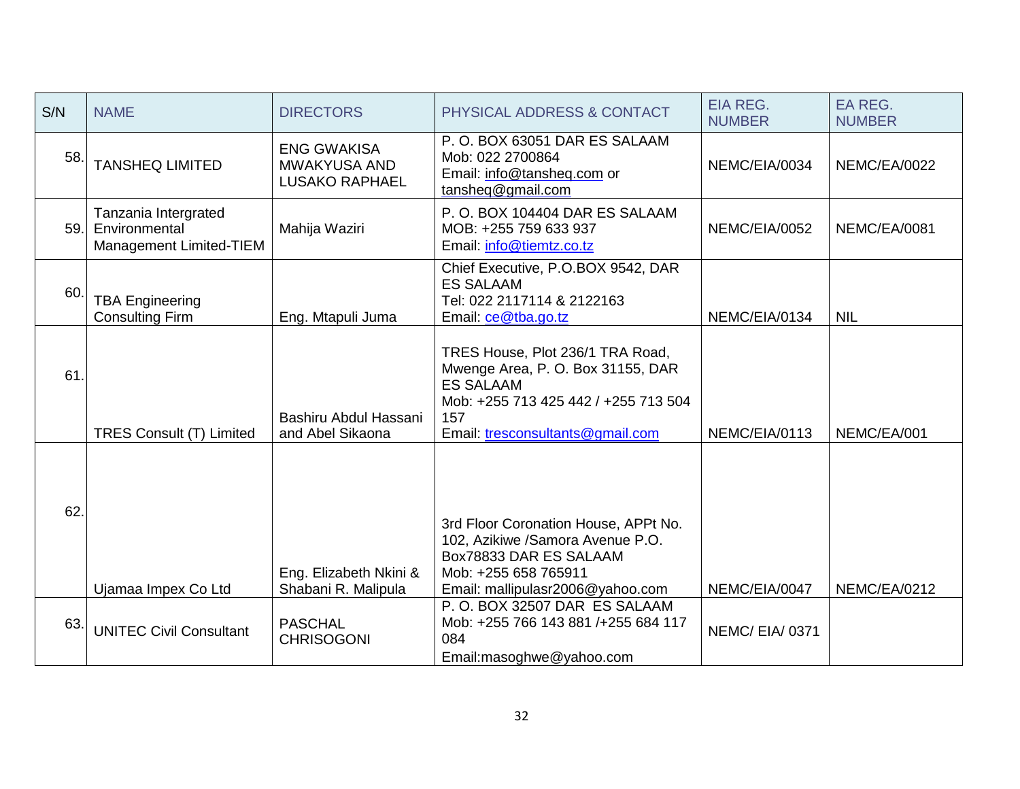| S/N | <b>NAME</b>                                                      | <b>DIRECTORS</b>                                                   | PHYSICAL ADDRESS & CONTACT                                                                                                                                                   | <b>EIA REG.</b><br><b>NUMBER</b> | <b>EA REG.</b><br><b>NUMBER</b> |
|-----|------------------------------------------------------------------|--------------------------------------------------------------------|------------------------------------------------------------------------------------------------------------------------------------------------------------------------------|----------------------------------|---------------------------------|
| 58. | <b>TANSHEQ LIMITED</b>                                           | <b>ENG GWAKISA</b><br><b>MWAKYUSA AND</b><br><b>LUSAKO RAPHAEL</b> | P.O. BOX 63051 DAR ES SALAAM<br>Mob: 022 2700864<br>Email: info@tansheq.com or<br>tansheq@gmail.com                                                                          | NEMC/EIA/0034                    | <b>NEMC/EA/0022</b>             |
| 59. | Tanzania Intergrated<br>Environmental<br>Management Limited-TIEM | Mahija Waziri                                                      | P.O. BOX 104404 DAR ES SALAAM<br>MOB: +255 759 633 937<br>Email: info@tiemtz.co.tz                                                                                           | NEMC/EIA/0052                    | NEMC/EA/0081                    |
| 60  | <b>TBA Engineering</b><br><b>Consulting Firm</b>                 | Eng. Mtapuli Juma                                                  | Chief Executive, P.O.BOX 9542, DAR<br><b>ES SALAAM</b><br>Tel: 022 2117114 & 2122163<br>Email: ce@tba.go.tz                                                                  | NEMC/EIA/0134                    | <b>NIL</b>                      |
| 61. | <b>TRES Consult (T) Limited</b>                                  | Bashiru Abdul Hassani<br>and Abel Sikaona                          | TRES House, Plot 236/1 TRA Road,<br>Mwenge Area, P. O. Box 31155, DAR<br><b>ES SALAAM</b><br>Mob: +255 713 425 442 / +255 713 504<br>157<br>Email: tresconsultants@gmail.com | NEMC/EIA/0113                    | NEMC/EA/001                     |
| 62. | Ujamaa Impex Co Ltd                                              | Eng. Elizabeth Nkini &<br>Shabani R. Malipula                      | 3rd Floor Coronation House, APPt No.<br>102, Azikiwe /Samora Avenue P.O.<br>Box78833 DAR ES SALAAM<br>Mob: +255 658 765911<br>Email: mallipulasr2006@yahoo.com               | NEMC/EIA/0047                    | NEMC/EA/0212                    |
| 63. | <b>UNITEC Civil Consultant</b>                                   | <b>PASCHAL</b><br><b>CHRISOGONI</b>                                | P.O. BOX 32507 DAR ES SALAAM<br>Mob: +255 766 143 881 /+255 684 117<br>084<br>Email:masoghwe@yahoo.com                                                                       | NEMC/EIA/0371                    |                                 |